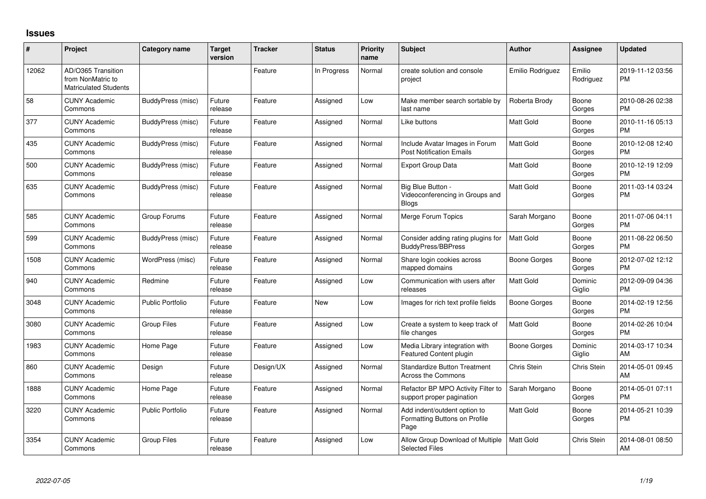## **Issues**

| #     | Project                                                                 | Category name           | <b>Target</b><br>version | <b>Tracker</b> | <b>Status</b> | Priority<br>name | <b>Subject</b>                                                        | <b>Author</b>       | Assignee            | <b>Updated</b>                |
|-------|-------------------------------------------------------------------------|-------------------------|--------------------------|----------------|---------------|------------------|-----------------------------------------------------------------------|---------------------|---------------------|-------------------------------|
| 12062 | AD/O365 Transition<br>from NonMatric to<br><b>Matriculated Students</b> |                         |                          | Feature        | In Progress   | Normal           | create solution and console<br>project                                | Emilio Rodriguez    | Emilio<br>Rodriguez | 2019-11-12 03:56<br><b>PM</b> |
| 58    | <b>CUNY Academic</b><br>Commons                                         | BuddyPress (misc)       | Future<br>release        | Feature        | Assigned      | Low              | Make member search sortable by<br>last name                           | Roberta Brody       | Boone<br>Gorges     | 2010-08-26 02:38<br><b>PM</b> |
| 377   | <b>CUNY Academic</b><br>Commons                                         | BuddyPress (misc)       | Future<br>release        | Feature        | Assigned      | Normal           | Like buttons                                                          | <b>Matt Gold</b>    | Boone<br>Gorges     | 2010-11-16 05:13<br><b>PM</b> |
| 435   | <b>CUNY Academic</b><br>Commons                                         | BuddyPress (misc)       | Future<br>release        | Feature        | Assigned      | Normal           | Include Avatar Images in Forum<br><b>Post Notification Emails</b>     | <b>Matt Gold</b>    | Boone<br>Gorges     | 2010-12-08 12:40<br><b>PM</b> |
| 500   | <b>CUNY Academic</b><br>Commons                                         | BuddyPress (misc)       | Future<br>release        | Feature        | Assigned      | Normal           | Export Group Data                                                     | <b>Matt Gold</b>    | Boone<br>Gorges     | 2010-12-19 12:09<br><b>PM</b> |
| 635   | <b>CUNY Academic</b><br>Commons                                         | BuddyPress (misc)       | Future<br>release        | Feature        | Assigned      | Normal           | Big Blue Button -<br>Videoconferencing in Groups and<br><b>Blogs</b>  | <b>Matt Gold</b>    | Boone<br>Gorges     | 2011-03-14 03:24<br><b>PM</b> |
| 585   | <b>CUNY Academic</b><br>Commons                                         | Group Forums            | Future<br>release        | Feature        | Assigned      | Normal           | Merge Forum Topics                                                    | Sarah Morgano       | Boone<br>Gorges     | 2011-07-06 04:11<br><b>PM</b> |
| 599   | <b>CUNY Academic</b><br>Commons                                         | BuddyPress (misc)       | Future<br>release        | Feature        | Assigned      | Normal           | Consider adding rating plugins for<br><b>BuddyPress/BBPress</b>       | <b>Matt Gold</b>    | Boone<br>Gorges     | 2011-08-22 06:50<br><b>PM</b> |
| 1508  | <b>CUNY Academic</b><br>Commons                                         | WordPress (misc)        | Future<br>release        | Feature        | Assigned      | Normal           | Share login cookies across<br>mapped domains                          | Boone Gorges        | Boone<br>Gorges     | 2012-07-02 12:12<br><b>PM</b> |
| 940   | <b>CUNY Academic</b><br>Commons                                         | Redmine                 | Future<br>release        | Feature        | Assigned      | Low              | Communication with users after<br>releases                            | <b>Matt Gold</b>    | Dominic<br>Giglio   | 2012-09-09 04:36<br><b>PM</b> |
| 3048  | <b>CUNY Academic</b><br>Commons                                         | <b>Public Portfolio</b> | Future<br>release        | Feature        | New           | Low              | Images for rich text profile fields                                   | <b>Boone Gorges</b> | Boone<br>Gorges     | 2014-02-19 12:56<br><b>PM</b> |
| 3080  | <b>CUNY Academic</b><br>Commons                                         | <b>Group Files</b>      | Future<br>release        | Feature        | Assigned      | Low              | Create a system to keep track of<br>file changes                      | <b>Matt Gold</b>    | Boone<br>Gorges     | 2014-02-26 10:04<br><b>PM</b> |
| 1983  | <b>CUNY Academic</b><br>Commons                                         | Home Page               | Future<br>release        | Feature        | Assigned      | Low              | Media Library integration with<br><b>Featured Content plugin</b>      | Boone Gorges        | Dominic<br>Giglio   | 2014-03-17 10:34<br>AM        |
| 860   | <b>CUNY Academic</b><br>Commons                                         | Design                  | Future<br>release        | Design/UX      | Assigned      | Normal           | Standardize Button Treatment<br><b>Across the Commons</b>             | Chris Stein         | Chris Stein         | 2014-05-01 09:45<br>AM        |
| 1888  | <b>CUNY Academic</b><br>Commons                                         | Home Page               | Future<br>release        | Feature        | Assigned      | Normal           | Refactor BP MPO Activity Filter to<br>support proper pagination       | Sarah Morgano       | Boone<br>Gorges     | 2014-05-01 07:11<br><b>PM</b> |
| 3220  | <b>CUNY Academic</b><br>Commons                                         | <b>Public Portfolio</b> | Future<br>release        | Feature        | Assigned      | Normal           | Add indent/outdent option to<br>Formatting Buttons on Profile<br>Page | <b>Matt Gold</b>    | Boone<br>Gorges     | 2014-05-21 10:39<br><b>PM</b> |
| 3354  | <b>CUNY Academic</b><br>Commons                                         | <b>Group Files</b>      | Future<br>release        | Feature        | Assigned      | Low              | Allow Group Download of Multiple<br><b>Selected Files</b>             | <b>Matt Gold</b>    | Chris Stein         | 2014-08-01 08:50<br>AM        |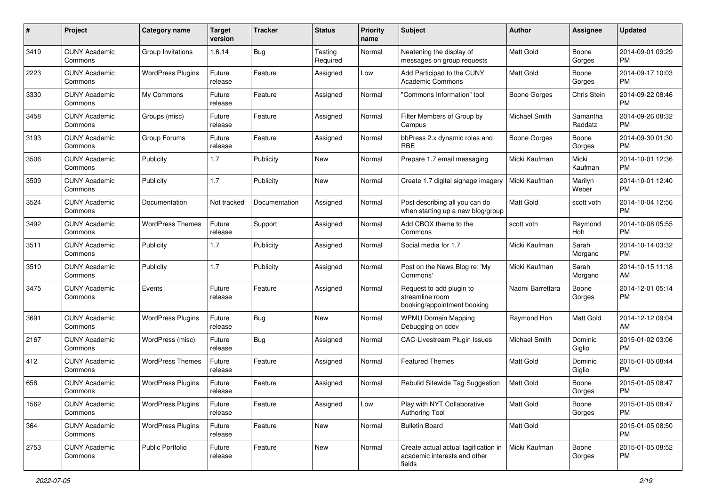| #    | Project                         | <b>Category name</b>     | <b>Target</b><br>version | <b>Tracker</b> | <b>Status</b>       | Priority<br>name | <b>Subject</b>                                                                 | <b>Author</b>       | <b>Assignee</b>     | <b>Updated</b>                |
|------|---------------------------------|--------------------------|--------------------------|----------------|---------------------|------------------|--------------------------------------------------------------------------------|---------------------|---------------------|-------------------------------|
| 3419 | <b>CUNY Academic</b><br>Commons | Group Invitations        | 1.6.14                   | Bug            | Testing<br>Required | Normal           | Neatening the display of<br>messages on group requests                         | <b>Matt Gold</b>    | Boone<br>Gorges     | 2014-09-01 09:29<br><b>PM</b> |
| 2223 | <b>CUNY Academic</b><br>Commons | <b>WordPress Plugins</b> | Future<br>release        | Feature        | Assigned            | Low              | Add Participad to the CUNY<br><b>Academic Commons</b>                          | <b>Matt Gold</b>    | Boone<br>Gorges     | 2014-09-17 10:03<br><b>PM</b> |
| 3330 | <b>CUNY Academic</b><br>Commons | My Commons               | Future<br>release        | Feature        | Assigned            | Normal           | 'Commons Information" tool                                                     | <b>Boone Gorges</b> | Chris Stein         | 2014-09-22 08:46<br><b>PM</b> |
| 3458 | <b>CUNY Academic</b><br>Commons | Groups (misc)            | Future<br>release        | Feature        | Assigned            | Normal           | Filter Members of Group by<br>Campus                                           | Michael Smith       | Samantha<br>Raddatz | 2014-09-26 08:32<br>PM.       |
| 3193 | <b>CUNY Academic</b><br>Commons | Group Forums             | Future<br>release        | Feature        | Assigned            | Normal           | bbPress 2.x dynamic roles and<br><b>RBE</b>                                    | <b>Boone Gorges</b> | Boone<br>Gorges     | 2014-09-30 01:30<br><b>PM</b> |
| 3506 | <b>CUNY Academic</b><br>Commons | Publicity                | 1.7                      | Publicity      | New                 | Normal           | Prepare 1.7 email messaging                                                    | Micki Kaufman       | Micki<br>Kaufman    | 2014-10-01 12:36<br><b>PM</b> |
| 3509 | <b>CUNY Academic</b><br>Commons | Publicity                | 1.7                      | Publicity      | New                 | Normal           | Create 1.7 digital signage imagery                                             | Micki Kaufman       | Marilyn<br>Weber    | 2014-10-01 12:40<br><b>PM</b> |
| 3524 | <b>CUNY Academic</b><br>Commons | Documentation            | Not tracked              | Documentation  | Assigned            | Normal           | Post describing all you can do<br>when starting up a new blog/group            | <b>Matt Gold</b>    | scott voth          | 2014-10-04 12:56<br><b>PM</b> |
| 3492 | <b>CUNY Academic</b><br>Commons | <b>WordPress Themes</b>  | Future<br>release        | Support        | Assigned            | Normal           | Add CBOX theme to the<br>Commons                                               | scott voth          | Raymond<br>Hoh      | 2014-10-08 05:55<br><b>PM</b> |
| 3511 | <b>CUNY Academic</b><br>Commons | Publicity                | 1.7                      | Publicity      | Assigned            | Normal           | Social media for 1.7                                                           | Micki Kaufman       | Sarah<br>Morgano    | 2014-10-14 03:32<br><b>PM</b> |
| 3510 | <b>CUNY Academic</b><br>Commons | Publicity                | 1.7                      | Publicity      | Assigned            | Normal           | Post on the News Blog re: 'My<br>Commons'                                      | Micki Kaufman       | Sarah<br>Morgano    | 2014-10-15 11:18<br>AM        |
| 3475 | <b>CUNY Academic</b><br>Commons | Events                   | Future<br>release        | Feature        | Assigned            | Normal           | Request to add plugin to<br>streamline room<br>booking/appointment booking     | Naomi Barrettara    | Boone<br>Gorges     | 2014-12-01 05:14<br><b>PM</b> |
| 3691 | <b>CUNY Academic</b><br>Commons | <b>WordPress Plugins</b> | Future<br>release        | Bug            | New                 | Normal           | <b>WPMU Domain Mapping</b><br>Debugging on cdev                                | Raymond Hoh         | Matt Gold           | 2014-12-12 09:04<br>AM        |
| 2167 | <b>CUNY Academic</b><br>Commons | WordPress (misc)         | Future<br>release        | Bug            | Assigned            | Normal           | <b>CAC-Livestream Plugin Issues</b>                                            | Michael Smith       | Dominic<br>Giglio   | 2015-01-02 03:06<br><b>PM</b> |
| 412  | <b>CUNY Academic</b><br>Commons | <b>WordPress Themes</b>  | Future<br>release        | Feature        | Assigned            | Normal           | Featured Themes                                                                | Matt Gold           | Dominic<br>Giglio   | 2015-01-05 08:44<br><b>PM</b> |
| 658  | <b>CUNY Academic</b><br>Commons | <b>WordPress Plugins</b> | Future<br>release        | Feature        | Assigned            | Normal           | Rebulid Sitewide Tag Suggestion                                                | Matt Gold           | Boone<br>Gorges     | 2015-01-05 08:47<br>PM        |
| 1562 | <b>CUNY Academic</b><br>Commons | <b>WordPress Plugins</b> | Future<br>release        | Feature        | Assigned            | Low              | Play with NYT Collaborative<br>Authoring Tool                                  | <b>Matt Gold</b>    | Boone<br>Gorges     | 2015-01-05 08:47<br><b>PM</b> |
| 364  | <b>CUNY Academic</b><br>Commons | <b>WordPress Plugins</b> | Future<br>release        | Feature        | New                 | Normal           | <b>Bulletin Board</b>                                                          | Matt Gold           |                     | 2015-01-05 08:50<br><b>PM</b> |
| 2753 | <b>CUNY Academic</b><br>Commons | <b>Public Portfolio</b>  | Future<br>release        | Feature        | New                 | Normal           | Create actual actual tagification in<br>academic interests and other<br>fields | Micki Kaufman       | Boone<br>Gorges     | 2015-01-05 08:52<br>PM.       |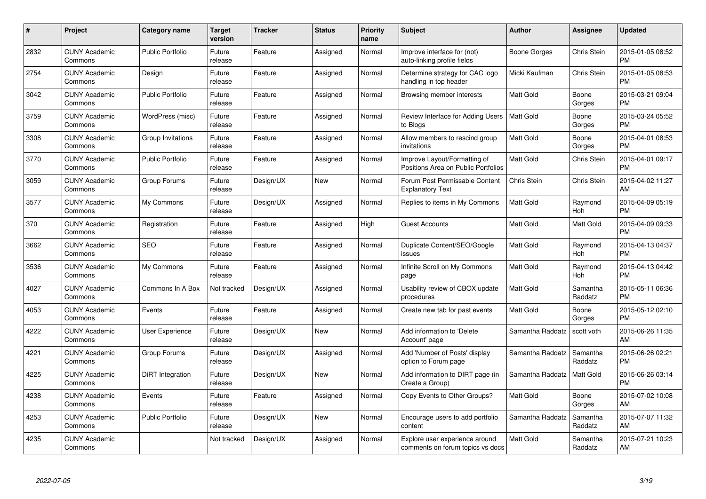| #    | Project                         | <b>Category name</b>    | Target<br>version | <b>Tracker</b> | <b>Status</b> | Priority<br>name | <b>Subject</b>                                                      | <b>Author</b>    | <b>Assignee</b>     | <b>Updated</b>                |
|------|---------------------------------|-------------------------|-------------------|----------------|---------------|------------------|---------------------------------------------------------------------|------------------|---------------------|-------------------------------|
| 2832 | <b>CUNY Academic</b><br>Commons | <b>Public Portfolio</b> | Future<br>release | Feature        | Assigned      | Normal           | Improve interface for (not)<br>auto-linking profile fields          | Boone Gorges     | Chris Stein         | 2015-01-05 08:52<br><b>PM</b> |
| 2754 | <b>CUNY Academic</b><br>Commons | Design                  | Future<br>release | Feature        | Assigned      | Normal           | Determine strategy for CAC logo<br>handling in top header           | Micki Kaufman    | Chris Stein         | 2015-01-05 08:53<br><b>PM</b> |
| 3042 | <b>CUNY Academic</b><br>Commons | <b>Public Portfolio</b> | Future<br>release | Feature        | Assigned      | Normal           | Browsing member interests                                           | Matt Gold        | Boone<br>Gorges     | 2015-03-21 09:04<br><b>PM</b> |
| 3759 | <b>CUNY Academic</b><br>Commons | WordPress (misc)        | Future<br>release | Feature        | Assigned      | Normal           | Review Interface for Adding Users<br>to Blogs                       | <b>Matt Gold</b> | Boone<br>Gorges     | 2015-03-24 05:52<br><b>PM</b> |
| 3308 | <b>CUNY Academic</b><br>Commons | Group Invitations       | Future<br>release | Feature        | Assigned      | Normal           | Allow members to rescind group<br>invitations                       | Matt Gold        | Boone<br>Gorges     | 2015-04-01 08:53<br><b>PM</b> |
| 3770 | <b>CUNY Academic</b><br>Commons | <b>Public Portfolio</b> | Future<br>release | Feature        | Assigned      | Normal           | Improve Layout/Formatting of<br>Positions Area on Public Portfolios | Matt Gold        | Chris Stein         | 2015-04-01 09:17<br><b>PM</b> |
| 3059 | <b>CUNY Academic</b><br>Commons | Group Forums            | Future<br>release | Design/UX      | <b>New</b>    | Normal           | Forum Post Permissable Content<br><b>Explanatory Text</b>           | Chris Stein      | Chris Stein         | 2015-04-02 11:27<br>AM        |
| 3577 | <b>CUNY Academic</b><br>Commons | My Commons              | Future<br>release | Design/UX      | Assigned      | Normal           | Replies to items in My Commons                                      | <b>Matt Gold</b> | Raymond<br>Hoh      | 2015-04-09 05:19<br><b>PM</b> |
| 370  | <b>CUNY Academic</b><br>Commons | Registration            | Future<br>release | Feature        | Assigned      | High             | <b>Guest Accounts</b>                                               | <b>Matt Gold</b> | Matt Gold           | 2015-04-09 09:33<br><b>PM</b> |
| 3662 | <b>CUNY Academic</b><br>Commons | <b>SEO</b>              | Future<br>release | Feature        | Assigned      | Normal           | Duplicate Content/SEO/Google<br>issues                              | <b>Matt Gold</b> | Raymond<br>Hoh      | 2015-04-13 04:37<br>PM        |
| 3536 | <b>CUNY Academic</b><br>Commons | My Commons              | Future<br>release | Feature        | Assigned      | Normal           | Infinite Scroll on My Commons<br>page                               | Matt Gold        | Raymond<br>Hoh      | 2015-04-13 04:42<br><b>PM</b> |
| 4027 | <b>CUNY Academic</b><br>Commons | Commons In A Box        | Not tracked       | Design/UX      | Assigned      | Normal           | Usability review of CBOX update<br>procedures                       | Matt Gold        | Samantha<br>Raddatz | 2015-05-11 06:36<br><b>PM</b> |
| 4053 | <b>CUNY Academic</b><br>Commons | Events                  | Future<br>release | Feature        | Assigned      | Normal           | Create new tab for past events                                      | Matt Gold        | Boone<br>Gorges     | 2015-05-12 02:10<br>PM.       |
| 4222 | <b>CUNY Academic</b><br>Commons | User Experience         | Future<br>release | Design/UX      | New           | Normal           | Add information to 'Delete<br>Account' page                         | Samantha Raddatz | scott voth          | 2015-06-26 11:35<br>AM        |
| 4221 | <b>CUNY Academic</b><br>Commons | Group Forums            | Future<br>release | Design/UX      | Assigned      | Normal           | Add 'Number of Posts' display<br>option to Forum page               | Samantha Raddatz | Samantha<br>Raddatz | 2015-06-26 02:21<br><b>PM</b> |
| 4225 | <b>CUNY Academic</b><br>Commons | <b>DiRT</b> Integration | Future<br>release | Design/UX      | <b>New</b>    | Normal           | Add information to DIRT page (in<br>Create a Group)                 | Samantha Raddatz | Matt Gold           | 2015-06-26 03:14<br><b>PM</b> |
| 4238 | <b>CUNY Academic</b><br>Commons | Events                  | Future<br>release | Feature        | Assigned      | Normal           | Copy Events to Other Groups?                                        | Matt Gold        | Boone<br>Gorges     | 2015-07-02 10:08<br>AM        |
| 4253 | <b>CUNY Academic</b><br>Commons | Public Portfolio        | Future<br>release | Design/UX      | New           | Normal           | Encourage users to add portfolio<br>content                         | Samantha Raddatz | Samantha<br>Raddatz | 2015-07-07 11:32<br>AM        |
| 4235 | <b>CUNY Academic</b><br>Commons |                         | Not tracked       | Design/UX      | Assigned      | Normal           | Explore user experience around<br>comments on forum topics vs docs  | Matt Gold        | Samantha<br>Raddatz | 2015-07-21 10:23<br>AM        |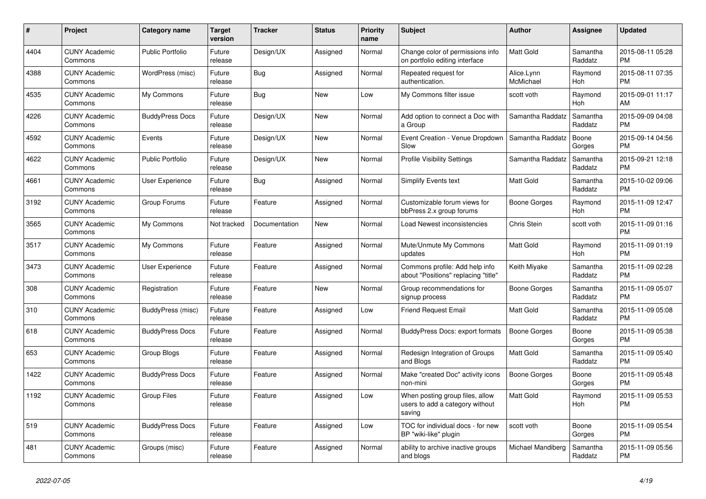| #    | Project                         | <b>Category name</b>    | <b>Target</b><br>version | <b>Tracker</b> | <b>Status</b> | <b>Priority</b><br>name | <b>Subject</b>                                                               | <b>Author</b>           | Assignee            | <b>Updated</b>                |
|------|---------------------------------|-------------------------|--------------------------|----------------|---------------|-------------------------|------------------------------------------------------------------------------|-------------------------|---------------------|-------------------------------|
| 4404 | <b>CUNY Academic</b><br>Commons | <b>Public Portfolio</b> | Future<br>release        | Design/UX      | Assigned      | Normal                  | Change color of permissions info<br>on portfolio editing interface           | <b>Matt Gold</b>        | Samantha<br>Raddatz | 2015-08-11 05:28<br><b>PM</b> |
| 4388 | <b>CUNY Academic</b><br>Commons | WordPress (misc)        | Future<br>release        | Bug            | Assigned      | Normal                  | Repeated request for<br>authentication.                                      | Alice.Lynn<br>McMichael | Raymond<br>Hoh      | 2015-08-11 07:35<br><b>PM</b> |
| 4535 | <b>CUNY Academic</b><br>Commons | My Commons              | Future<br>release        | Bug            | New           | Low                     | My Commons filter issue                                                      | scott voth              | Raymond<br>Hoh      | 2015-09-01 11:17<br>AM        |
| 4226 | <b>CUNY Academic</b><br>Commons | <b>BuddyPress Docs</b>  | Future<br>release        | Design/UX      | <b>New</b>    | Normal                  | Add option to connect a Doc with<br>a Group                                  | Samantha Raddatz        | Samantha<br>Raddatz | 2015-09-09 04:08<br><b>PM</b> |
| 4592 | <b>CUNY Academic</b><br>Commons | Events                  | Future<br>release        | Design/UX      | New           | Normal                  | Event Creation - Venue Dropdown<br>Slow                                      | Samantha Raddatz        | Boone<br>Gorges     | 2015-09-14 04:56<br><b>PM</b> |
| 4622 | <b>CUNY Academic</b><br>Commons | Public Portfolio        | Future<br>release        | Design/UX      | New           | Normal                  | <b>Profile Visibility Settings</b>                                           | Samantha Raddatz        | Samantha<br>Raddatz | 2015-09-21 12:18<br><b>PM</b> |
| 4661 | <b>CUNY Academic</b><br>Commons | User Experience         | Future<br>release        | Bug            | Assigned      | Normal                  | Simplify Events text                                                         | <b>Matt Gold</b>        | Samantha<br>Raddatz | 2015-10-02 09:06<br><b>PM</b> |
| 3192 | <b>CUNY Academic</b><br>Commons | Group Forums            | Future<br>release        | Feature        | Assigned      | Normal                  | Customizable forum views for<br>bbPress 2.x group forums                     | Boone Gorges            | Raymond<br>Hoh      | 2015-11-09 12:47<br><b>PM</b> |
| 3565 | <b>CUNY Academic</b><br>Commons | My Commons              | Not tracked              | Documentation  | New           | Normal                  | Load Newest inconsistencies                                                  | Chris Stein             | scott voth          | 2015-11-09 01:16<br><b>PM</b> |
| 3517 | <b>CUNY Academic</b><br>Commons | My Commons              | Future<br>release        | Feature        | Assigned      | Normal                  | Mute/Unmute My Commons<br>updates                                            | Matt Gold               | Raymond<br>Hoh      | 2015-11-09 01:19<br><b>PM</b> |
| 3473 | <b>CUNY Academic</b><br>Commons | <b>User Experience</b>  | Future<br>release        | Feature        | Assigned      | Normal                  | Commons profile: Add help info<br>about "Positions" replacing "title"        | Keith Miyake            | Samantha<br>Raddatz | 2015-11-09 02:28<br><b>PM</b> |
| 308  | <b>CUNY Academic</b><br>Commons | Registration            | Future<br>release        | Feature        | New           | Normal                  | Group recommendations for<br>signup process                                  | Boone Gorges            | Samantha<br>Raddatz | 2015-11-09 05:07<br><b>PM</b> |
| 310  | <b>CUNY Academic</b><br>Commons | BuddyPress (misc)       | Future<br>release        | Feature        | Assigned      | Low                     | <b>Friend Request Email</b>                                                  | Matt Gold               | Samantha<br>Raddatz | 2015-11-09 05:08<br><b>PM</b> |
| 618  | <b>CUNY Academic</b><br>Commons | <b>BuddyPress Docs</b>  | Future<br>release        | Feature        | Assigned      | Normal                  | <b>BuddyPress Docs: export formats</b>                                       | Boone Gorges            | Boone<br>Gorges     | 2015-11-09 05:38<br><b>PM</b> |
| 653  | <b>CUNY Academic</b><br>Commons | Group Blogs             | Future<br>release        | Feature        | Assigned      | Normal                  | Redesign Integration of Groups<br>and Blogs                                  | Matt Gold               | Samantha<br>Raddatz | 2015-11-09 05:40<br><b>PM</b> |
| 1422 | <b>CUNY Academic</b><br>Commons | <b>BuddyPress Docs</b>  | Future<br>release        | Feature        | Assigned      | Normal                  | Make "created Doc" activity icons<br>non-mini                                | Boone Gorges            | Boone<br>Gorges     | 2015-11-09 05:48<br><b>PM</b> |
| 1192 | <b>CUNY Academic</b><br>Commons | <b>Group Files</b>      | Future<br>release        | Feature        | Assigned      | Low                     | When posting group files, allow<br>users to add a category without<br>saving | <b>Matt Gold</b>        | Raymond<br>Hoh      | 2015-11-09 05:53<br><b>PM</b> |
| 519  | <b>CUNY Academic</b><br>Commons | <b>BuddyPress Docs</b>  | Future<br>release        | Feature        | Assigned      | Low                     | TOC for individual docs - for new<br>BP "wiki-like" plugin                   | scott voth              | Boone<br>Gorges     | 2015-11-09 05:54<br><b>PM</b> |
| 481  | <b>CUNY Academic</b><br>Commons | Groups (misc)           | Future<br>release        | Feature        | Assigned      | Normal                  | ability to archive inactive groups<br>and blogs                              | Michael Mandiberg       | Samantha<br>Raddatz | 2015-11-09 05:56<br><b>PM</b> |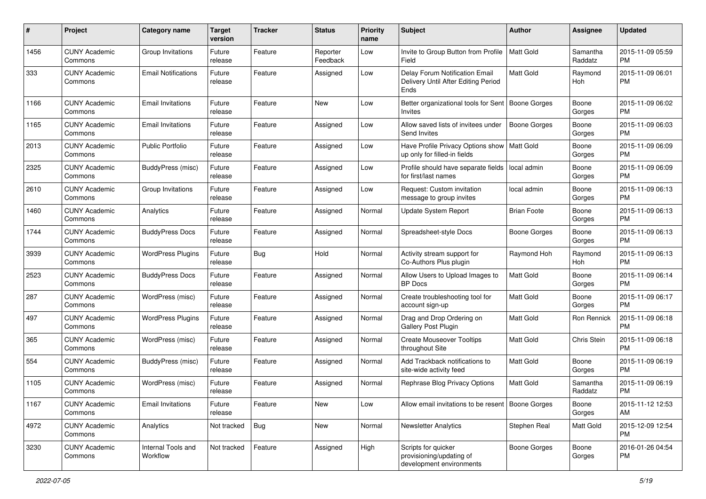| #    | Project                         | <b>Category name</b>           | <b>Target</b><br>version | <b>Tracker</b> | <b>Status</b>        | Priority<br>name | <b>Subject</b>                                                                | Author              | <b>Assignee</b>     | <b>Updated</b>                |
|------|---------------------------------|--------------------------------|--------------------------|----------------|----------------------|------------------|-------------------------------------------------------------------------------|---------------------|---------------------|-------------------------------|
| 1456 | <b>CUNY Academic</b><br>Commons | Group Invitations              | Future<br>release        | Feature        | Reporter<br>Feedback | Low              | Invite to Group Button from Profile<br>Field                                  | Matt Gold           | Samantha<br>Raddatz | 2015-11-09 05:59<br><b>PM</b> |
| 333  | <b>CUNY Academic</b><br>Commons | <b>Email Notifications</b>     | Future<br>release        | Feature        | Assigned             | Low              | Delay Forum Notification Email<br>Delivery Until After Editing Period<br>Ends | <b>Matt Gold</b>    | Raymond<br>Hoh      | 2015-11-09 06:01<br><b>PM</b> |
| 1166 | <b>CUNY Academic</b><br>Commons | <b>Email Invitations</b>       | Future<br>release        | Feature        | New                  | Low              | Better organizational tools for Sent   Boone Gorges<br>Invites                |                     | Boone<br>Gorges     | 2015-11-09 06:02<br><b>PM</b> |
| 1165 | <b>CUNY Academic</b><br>Commons | <b>Email Invitations</b>       | Future<br>release        | Feature        | Assigned             | Low              | Allow saved lists of invitees under<br>Send Invites                           | <b>Boone Gorges</b> | Boone<br>Gorges     | 2015-11-09 06:03<br><b>PM</b> |
| 2013 | <b>CUNY Academic</b><br>Commons | <b>Public Portfolio</b>        | Future<br>release        | Feature        | Assigned             | Low              | Have Profile Privacy Options show<br>up only for filled-in fields             | Matt Gold           | Boone<br>Gorges     | 2015-11-09 06:09<br><b>PM</b> |
| 2325 | <b>CUNY Academic</b><br>Commons | BuddyPress (misc)              | Future<br>release        | Feature        | Assigned             | Low              | Profile should have separate fields<br>for first/last names                   | local admin         | Boone<br>Gorges     | 2015-11-09 06:09<br><b>PM</b> |
| 2610 | <b>CUNY Academic</b><br>Commons | Group Invitations              | Future<br>release        | Feature        | Assigned             | Low              | Request: Custom invitation<br>message to group invites                        | local admin         | Boone<br>Gorges     | 2015-11-09 06:13<br><b>PM</b> |
| 1460 | <b>CUNY Academic</b><br>Commons | Analytics                      | Future<br>release        | Feature        | Assigned             | Normal           | <b>Update System Report</b>                                                   | <b>Brian Foote</b>  | Boone<br>Gorges     | 2015-11-09 06:13<br><b>PM</b> |
| 1744 | <b>CUNY Academic</b><br>Commons | <b>BuddyPress Docs</b>         | Future<br>release        | Feature        | Assigned             | Normal           | Spreadsheet-style Docs                                                        | <b>Boone Gorges</b> | Boone<br>Gorges     | 2015-11-09 06:13<br><b>PM</b> |
| 3939 | <b>CUNY Academic</b><br>Commons | <b>WordPress Plugins</b>       | Future<br>release        | <b>Bug</b>     | Hold                 | Normal           | Activity stream support for<br>Co-Authors Plus plugin                         | Raymond Hoh         | Raymond<br>Hoh      | 2015-11-09 06:13<br><b>PM</b> |
| 2523 | <b>CUNY Academic</b><br>Commons | <b>BuddyPress Docs</b>         | Future<br>release        | Feature        | Assigned             | Normal           | Allow Users to Upload Images to<br><b>BP</b> Docs                             | Matt Gold           | Boone<br>Gorges     | 2015-11-09 06:14<br><b>PM</b> |
| 287  | <b>CUNY Academic</b><br>Commons | WordPress (misc)               | Future<br>release        | Feature        | Assigned             | Normal           | Create troubleshooting tool for<br>account sign-up                            | Matt Gold           | Boone<br>Gorges     | 2015-11-09 06:17<br><b>PM</b> |
| 497  | <b>CUNY Academic</b><br>Commons | <b>WordPress Plugins</b>       | Future<br>release        | Feature        | Assigned             | Normal           | Drag and Drop Ordering on<br>Gallery Post Plugin                              | <b>Matt Gold</b>    | Ron Rennick         | 2015-11-09 06:18<br><b>PM</b> |
| 365  | <b>CUNY Academic</b><br>Commons | WordPress (misc)               | Future<br>release        | Feature        | Assigned             | Normal           | <b>Create Mouseover Tooltips</b><br>throughout Site                           | <b>Matt Gold</b>    | Chris Stein         | 2015-11-09 06:18<br><b>PM</b> |
| 554  | <b>CUNY Academic</b><br>Commons | BuddyPress (misc)              | Future<br>release        | Feature        | Assigned             | Normal           | Add Trackback notifications to<br>site-wide activity feed                     | <b>Matt Gold</b>    | Boone<br>Gorges     | 2015-11-09 06:19<br><b>PM</b> |
| 1105 | <b>CUNY Academic</b><br>Commons | WordPress (misc)               | Future<br>release        | Feature        | Assigned             | Normal           | Rephrase Blog Privacy Options                                                 | <b>Matt Gold</b>    | Samantha<br>Raddatz | 2015-11-09 06:19<br><b>PM</b> |
| 1167 | <b>CUNY Academic</b><br>Commons | <b>Email Invitations</b>       | Future<br>release        | Feature        | New                  | Low              | Allow email invitations to be resent   Boone Gorges                           |                     | Boone<br>Gorges     | 2015-11-12 12:53<br>AM        |
| 4972 | <b>CUNY Academic</b><br>Commons | Analytics                      | Not tracked              | <b>Bug</b>     | New                  | Normal           | Newsletter Analytics                                                          | Stephen Real        | Matt Gold           | 2015-12-09 12:54<br><b>PM</b> |
| 3230 | <b>CUNY Academic</b><br>Commons | Internal Tools and<br>Workflow | Not tracked              | Feature        | Assigned             | High             | Scripts for quicker<br>provisioning/updating of<br>development environments   | Boone Gorges        | Boone<br>Gorges     | 2016-01-26 04:54<br><b>PM</b> |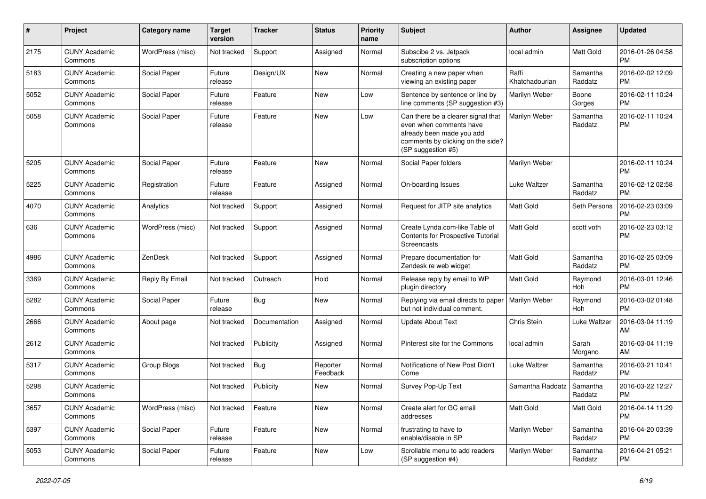| #    | Project                         | Category name    | <b>Target</b><br>version | <b>Tracker</b> | <b>Status</b>        | <b>Priority</b><br>name | <b>Subject</b>                                                                                                                                        | Author                  | <b>Assignee</b>     | <b>Updated</b>                |
|------|---------------------------------|------------------|--------------------------|----------------|----------------------|-------------------------|-------------------------------------------------------------------------------------------------------------------------------------------------------|-------------------------|---------------------|-------------------------------|
| 2175 | <b>CUNY Academic</b><br>Commons | WordPress (misc) | Not tracked              | Support        | Assigned             | Normal                  | Subscibe 2 vs. Jetpack<br>subscription options                                                                                                        | local admin             | Matt Gold           | 2016-01-26 04:58<br><b>PM</b> |
| 5183 | <b>CUNY Academic</b><br>Commons | Social Paper     | Future<br>release        | Design/UX      | New                  | Normal                  | Creating a new paper when<br>viewing an existing paper                                                                                                | Raffi<br>Khatchadourian | Samantha<br>Raddatz | 2016-02-02 12:09<br><b>PM</b> |
| 5052 | <b>CUNY Academic</b><br>Commons | Social Paper     | Future<br>release        | Feature        | <b>New</b>           | Low                     | Sentence by sentence or line by<br>line comments (SP suggestion #3)                                                                                   | Marilyn Weber           | Boone<br>Gorges     | 2016-02-11 10:24<br><b>PM</b> |
| 5058 | <b>CUNY Academic</b><br>Commons | Social Paper     | Future<br>release        | Feature        | <b>New</b>           | Low                     | Can there be a clearer signal that<br>even when comments have<br>already been made you add<br>comments by clicking on the side?<br>(SP suggestion #5) | Marilyn Weber           | Samantha<br>Raddatz | 2016-02-11 10:24<br><b>PM</b> |
| 5205 | <b>CUNY Academic</b><br>Commons | Social Paper     | Future<br>release        | Feature        | New                  | Normal                  | Social Paper folders                                                                                                                                  | Marilyn Weber           |                     | 2016-02-11 10:24<br><b>PM</b> |
| 5225 | <b>CUNY Academic</b><br>Commons | Registration     | Future<br>release        | Feature        | Assigned             | Normal                  | On-boarding Issues                                                                                                                                    | Luke Waltzer            | Samantha<br>Raddatz | 2016-02-12 02:58<br><b>PM</b> |
| 4070 | <b>CUNY Academic</b><br>Commons | Analytics        | Not tracked              | Support        | Assigned             | Normal                  | Request for JITP site analytics                                                                                                                       | <b>Matt Gold</b>        | Seth Persons        | 2016-02-23 03:09<br><b>PM</b> |
| 636  | <b>CUNY Academic</b><br>Commons | WordPress (misc) | Not tracked              | Support        | Assigned             | Normal                  | Create Lynda.com-like Table of<br>Contents for Prospective Tutorial<br>Screencasts                                                                    | <b>Matt Gold</b>        | scott voth          | 2016-02-23 03:12<br><b>PM</b> |
| 4986 | <b>CUNY Academic</b><br>Commons | ZenDesk          | Not tracked              | Support        | Assigned             | Normal                  | Prepare documentation for<br>Zendesk re web widget                                                                                                    | <b>Matt Gold</b>        | Samantha<br>Raddatz | 2016-02-25 03:09<br><b>PM</b> |
| 3369 | <b>CUNY Academic</b><br>Commons | Reply By Email   | Not tracked              | Outreach       | Hold                 | Normal                  | Release reply by email to WP<br>plugin directory                                                                                                      | <b>Matt Gold</b>        | Raymond<br>Hoh      | 2016-03-01 12:46<br><b>PM</b> |
| 5282 | <b>CUNY Academic</b><br>Commons | Social Paper     | Future<br>release        | Bug            | <b>New</b>           | Normal                  | Replying via email directs to paper<br>but not individual comment.                                                                                    | Marilyn Weber           | Raymond<br>Hoh      | 2016-03-02 01:48<br><b>PM</b> |
| 2666 | <b>CUNY Academic</b><br>Commons | About page       | Not tracked              | Documentation  | Assigned             | Normal                  | <b>Update About Text</b>                                                                                                                              | Chris Stein             | Luke Waltzer        | 2016-03-04 11:19<br>AM        |
| 2612 | <b>CUNY Academic</b><br>Commons |                  | Not tracked              | Publicity      | Assigned             | Normal                  | Pinterest site for the Commons                                                                                                                        | local admin             | Sarah<br>Morgano    | 2016-03-04 11:19<br>AM        |
| 5317 | <b>CUNY Academic</b><br>Commons | Group Blogs      | Not tracked              | Bug            | Reporter<br>Feedback | Normal                  | Notifications of New Post Didn't<br>Come                                                                                                              | Luke Waltzer            | Samantha<br>Raddatz | 2016-03-21 10:41<br><b>PM</b> |
| 5298 | <b>CUNY Academic</b><br>Commons |                  | Not tracked              | Publicity      | New                  | Normal                  | Survey Pop-Up Text                                                                                                                                    | Samantha Raddatz        | Samantha<br>Raddatz | 2016-03-22 12:27<br><b>PM</b> |
| 3657 | <b>CUNY Academic</b><br>Commons | WordPress (misc) | Not tracked              | Feature        | New                  | Normal                  | Create alert for GC email<br>addresses                                                                                                                | Matt Gold               | Matt Gold           | 2016-04-14 11:29<br><b>PM</b> |
| 5397 | <b>CUNY Academic</b><br>Commons | Social Paper     | Future<br>release        | Feature        | New                  | Normal                  | frustrating to have to<br>enable/disable in SP                                                                                                        | Marilyn Weber           | Samantha<br>Raddatz | 2016-04-20 03:39<br><b>PM</b> |
| 5053 | <b>CUNY Academic</b><br>Commons | Social Paper     | Future<br>release        | Feature        | New                  | Low                     | Scrollable menu to add readers<br>(SP suggestion #4)                                                                                                  | Marilyn Weber           | Samantha<br>Raddatz | 2016-04-21 05:21<br><b>PM</b> |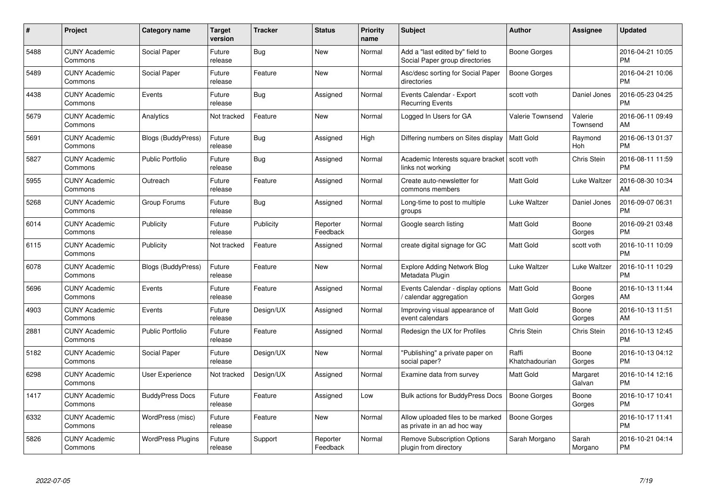| #    | Project                         | <b>Category name</b>      | Target<br>version | <b>Tracker</b> | <b>Status</b>        | Priority<br>name | <b>Subject</b>                                                      | <b>Author</b>           | <b>Assignee</b>     | <b>Updated</b>                |
|------|---------------------------------|---------------------------|-------------------|----------------|----------------------|------------------|---------------------------------------------------------------------|-------------------------|---------------------|-------------------------------|
| 5488 | <b>CUNY Academic</b><br>Commons | Social Paper              | Future<br>release | Bug            | <b>New</b>           | Normal           | Add a "last edited by" field to<br>Social Paper group directories   | Boone Gorges            |                     | 2016-04-21 10:05<br><b>PM</b> |
| 5489 | <b>CUNY Academic</b><br>Commons | Social Paper              | Future<br>release | Feature        | <b>New</b>           | Normal           | Asc/desc sorting for Social Paper<br>directories                    | Boone Gorges            |                     | 2016-04-21 10:06<br><b>PM</b> |
| 4438 | <b>CUNY Academic</b><br>Commons | Events                    | Future<br>release | Bug            | Assigned             | Normal           | Events Calendar - Export<br><b>Recurring Events</b>                 | scott voth              | Daniel Jones        | 2016-05-23 04:25<br><b>PM</b> |
| 5679 | <b>CUNY Academic</b><br>Commons | Analytics                 | Not tracked       | Feature        | <b>New</b>           | Normal           | Logged In Users for GA                                              | <b>Valerie Townsend</b> | Valerie<br>Townsend | 2016-06-11 09:49<br>AM        |
| 5691 | <b>CUNY Academic</b><br>Commons | <b>Blogs (BuddyPress)</b> | Future<br>release | Bug            | Assigned             | High             | Differing numbers on Sites display                                  | <b>Matt Gold</b>        | Raymond<br>Hoh      | 2016-06-13 01:37<br><b>PM</b> |
| 5827 | <b>CUNY Academic</b><br>Commons | <b>Public Portfolio</b>   | Future<br>release | <b>Bug</b>     | Assigned             | Normal           | Academic Interests square bracket   scott voth<br>links not working |                         | Chris Stein         | 2016-08-11 11:59<br><b>PM</b> |
| 5955 | <b>CUNY Academic</b><br>Commons | Outreach                  | Future<br>release | Feature        | Assigned             | Normal           | Create auto-newsletter for<br>commons members                       | Matt Gold               | Luke Waltzer        | 2016-08-30 10:34<br>AM        |
| 5268 | <b>CUNY Academic</b><br>Commons | Group Forums              | Future<br>release | Bug            | Assigned             | Normal           | Long-time to post to multiple<br>groups                             | Luke Waltzer            | Daniel Jones        | 2016-09-07 06:31<br><b>PM</b> |
| 6014 | <b>CUNY Academic</b><br>Commons | Publicity                 | Future<br>release | Publicity      | Reporter<br>Feedback | Normal           | Google search listing                                               | Matt Gold               | Boone<br>Gorges     | 2016-09-21 03:48<br><b>PM</b> |
| 6115 | <b>CUNY Academic</b><br>Commons | Publicity                 | Not tracked       | Feature        | Assigned             | Normal           | create digital signage for GC                                       | <b>Matt Gold</b>        | scott voth          | 2016-10-11 10:09<br>PM        |
| 6078 | <b>CUNY Academic</b><br>Commons | <b>Blogs (BuddyPress)</b> | Future<br>release | Feature        | New                  | Normal           | <b>Explore Adding Network Blog</b><br>Metadata Plugin               | Luke Waltzer            | Luke Waltzer        | 2016-10-11 10:29<br><b>PM</b> |
| 5696 | <b>CUNY Academic</b><br>Commons | Events                    | Future<br>release | Feature        | Assigned             | Normal           | Events Calendar - display options<br>calendar aggregation           | Matt Gold               | Boone<br>Gorges     | 2016-10-13 11:44<br>AM        |
| 4903 | <b>CUNY Academic</b><br>Commons | Events                    | Future<br>release | Design/UX      | Assigned             | Normal           | Improving visual appearance of<br>event calendars                   | Matt Gold               | Boone<br>Gorges     | 2016-10-13 11:51<br>AM.       |
| 2881 | <b>CUNY Academic</b><br>Commons | <b>Public Portfolio</b>   | Future<br>release | Feature        | Assigned             | Normal           | Redesign the UX for Profiles                                        | Chris Stein             | <b>Chris Stein</b>  | 2016-10-13 12:45<br><b>PM</b> |
| 5182 | <b>CUNY Academic</b><br>Commons | Social Paper              | Future<br>release | Design/UX      | New                  | Normal           | "Publishing" a private paper on<br>social paper?                    | Raffi<br>Khatchadourian | Boone<br>Gorges     | 2016-10-13 04:12<br><b>PM</b> |
| 6298 | <b>CUNY Academic</b><br>Commons | User Experience           | Not tracked       | Design/UX      | Assigned             | Normal           | Examine data from survey                                            | Matt Gold               | Margaret<br>Galvan  | 2016-10-14 12:16<br><b>PM</b> |
| 1417 | <b>CUNY Academic</b><br>Commons | <b>BuddyPress Docs</b>    | Future<br>release | Feature        | Assigned             | Low              | <b>Bulk actions for BuddyPress Docs</b>                             | <b>Boone Gorges</b>     | Boone<br>Gorges     | 2016-10-17 10:41<br><b>PM</b> |
| 6332 | <b>CUNY Academic</b><br>Commons | WordPress (misc)          | Future<br>release | Feature        | New                  | Normal           | Allow uploaded files to be marked<br>as private in an ad hoc way    | Boone Gorges            |                     | 2016-10-17 11:41<br><b>PM</b> |
| 5826 | <b>CUNY Academic</b><br>Commons | <b>WordPress Plugins</b>  | Future<br>release | Support        | Reporter<br>Feedback | Normal           | Remove Subscription Options<br>plugin from directory                | Sarah Morgano           | Sarah<br>Morgano    | 2016-10-21 04:14<br>PM        |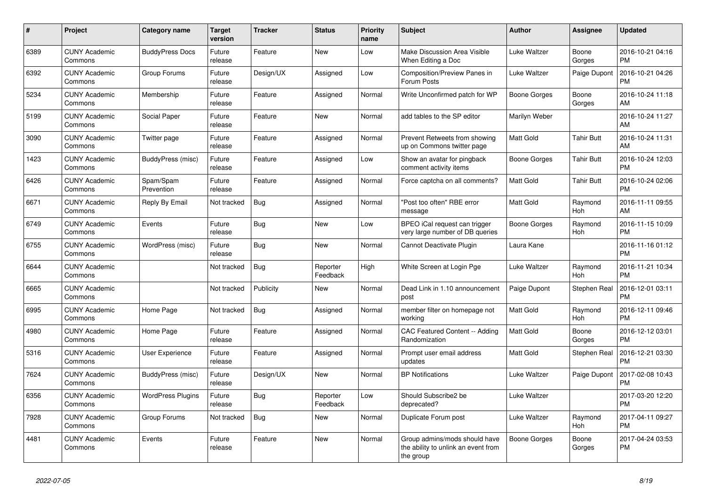| #    | Project                         | Category name            | <b>Target</b><br>version | <b>Tracker</b> | <b>Status</b>        | <b>Priority</b><br>name | <b>Subject</b>                                                                    | <b>Author</b>    | Assignee          | <b>Updated</b>                |
|------|---------------------------------|--------------------------|--------------------------|----------------|----------------------|-------------------------|-----------------------------------------------------------------------------------|------------------|-------------------|-------------------------------|
| 6389 | <b>CUNY Academic</b><br>Commons | <b>BuddyPress Docs</b>   | Future<br>release        | Feature        | <b>New</b>           | Low                     | Make Discussion Area Visible<br>When Editing a Doc                                | Luke Waltzer     | Boone<br>Gorges   | 2016-10-21 04:16<br><b>PM</b> |
| 6392 | <b>CUNY Academic</b><br>Commons | Group Forums             | Future<br>release        | Design/UX      | Assigned             | Low                     | Composition/Preview Panes in<br>Forum Posts                                       | Luke Waltzer     | Paige Dupont      | 2016-10-21 04:26<br><b>PM</b> |
| 5234 | <b>CUNY Academic</b><br>Commons | Membership               | Future<br>release        | Feature        | Assigned             | Normal                  | Write Unconfirmed patch for WP                                                    | Boone Gorges     | Boone<br>Gorges   | 2016-10-24 11:18<br>AM        |
| 5199 | <b>CUNY Academic</b><br>Commons | Social Paper             | Future<br>release        | Feature        | <b>New</b>           | Normal                  | add tables to the SP editor                                                       | Marilyn Weber    |                   | 2016-10-24 11:27<br>AM        |
| 3090 | <b>CUNY Academic</b><br>Commons | Twitter page             | Future<br>release        | Feature        | Assigned             | Normal                  | Prevent Retweets from showing<br>up on Commons twitter page                       | Matt Gold        | <b>Tahir Butt</b> | 2016-10-24 11:31<br>AM        |
| 1423 | <b>CUNY Academic</b><br>Commons | BuddyPress (misc)        | Future<br>release        | Feature        | Assigned             | Low                     | Show an avatar for pingback<br>comment activity items                             | Boone Gorges     | <b>Tahir Butt</b> | 2016-10-24 12:03<br><b>PM</b> |
| 6426 | <b>CUNY Academic</b><br>Commons | Spam/Spam<br>Prevention  | Future<br>release        | Feature        | Assigned             | Normal                  | Force captcha on all comments?                                                    | <b>Matt Gold</b> | <b>Tahir Butt</b> | 2016-10-24 02:06<br><b>PM</b> |
| 6671 | <b>CUNY Academic</b><br>Commons | Reply By Email           | Not tracked              | Bug            | Assigned             | Normal                  | "Post too often" RBE error<br>message                                             | <b>Matt Gold</b> | Raymond<br>Hoh    | 2016-11-11 09:55<br>AM        |
| 6749 | <b>CUNY Academic</b><br>Commons | Events                   | Future<br>release        | <b>Bug</b>     | New                  | Low                     | BPEO iCal request can trigger<br>very large number of DB queries                  | Boone Gorges     | Raymond<br>Hoh    | 2016-11-15 10:09<br><b>PM</b> |
| 6755 | <b>CUNY Academic</b><br>Commons | WordPress (misc)         | Future<br>release        | Bug            | New                  | Normal                  | Cannot Deactivate Plugin                                                          | Laura Kane       |                   | 2016-11-16 01:12<br><b>PM</b> |
| 6644 | <b>CUNY Academic</b><br>Commons |                          | Not tracked              | Bug            | Reporter<br>Feedback | High                    | White Screen at Login Pge                                                         | Luke Waltzer     | Raymond<br>Hoh    | 2016-11-21 10:34<br><b>PM</b> |
| 6665 | <b>CUNY Academic</b><br>Commons |                          | Not tracked              | Publicity      | <b>New</b>           | Normal                  | Dead Link in 1.10 announcement<br>post                                            | Paige Dupont     | Stephen Real      | 2016-12-01 03:11<br><b>PM</b> |
| 6995 | <b>CUNY Academic</b><br>Commons | Home Page                | Not tracked              | Bug            | Assigned             | Normal                  | member filter on homepage not<br>working                                          | Matt Gold        | Raymond<br>Hoh    | 2016-12-11 09:46<br><b>PM</b> |
| 4980 | <b>CUNY Academic</b><br>Commons | Home Page                | Future<br>release        | Feature        | Assigned             | Normal                  | CAC Featured Content -- Adding<br>Randomization                                   | <b>Matt Gold</b> | Boone<br>Gorges   | 2016-12-12 03:01<br><b>PM</b> |
| 5316 | <b>CUNY Academic</b><br>Commons | User Experience          | Future<br>release        | Feature        | Assigned             | Normal                  | Prompt user email address<br>updates                                              | Matt Gold        | Stephen Real      | 2016-12-21 03:30<br><b>PM</b> |
| 7624 | <b>CUNY Academic</b><br>Commons | BuddyPress (misc)        | Future<br>release        | Design/UX      | New                  | Normal                  | <b>BP Notifications</b>                                                           | Luke Waltzer     | Paige Dupont      | 2017-02-08 10:43<br><b>PM</b> |
| 6356 | <b>CUNY Academic</b><br>Commons | <b>WordPress Plugins</b> | Future<br>release        | <b>Bug</b>     | Reporter<br>Feedback | Low                     | Should Subscribe2 be<br>deprecated?                                               | Luke Waltzer     |                   | 2017-03-20 12:20<br><b>PM</b> |
| 7928 | <b>CUNY Academic</b><br>Commons | Group Forums             | Not tracked              | Bug            | <b>New</b>           | Normal                  | Duplicate Forum post                                                              | Luke Waltzer     | Raymond<br>Hoh    | 2017-04-11 09:27<br><b>PM</b> |
| 4481 | <b>CUNY Academic</b><br>Commons | Events                   | Future<br>release        | Feature        | New                  | Normal                  | Group admins/mods should have<br>the ability to unlink an event from<br>the group | Boone Gorges     | Boone<br>Gorges   | 2017-04-24 03:53<br><b>PM</b> |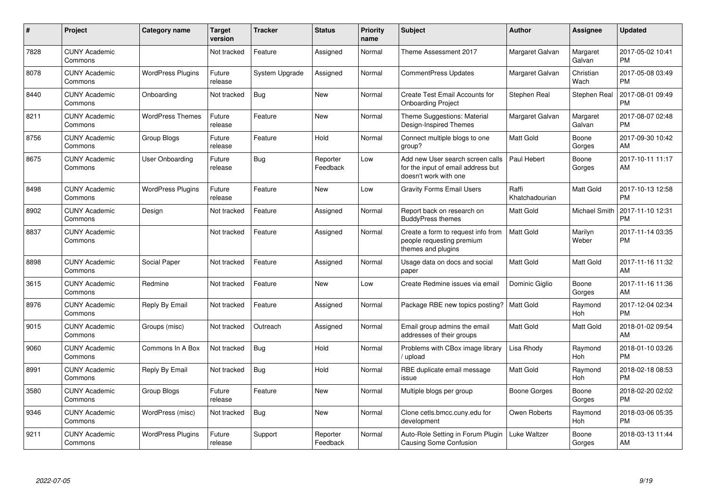| #    | Project                         | <b>Category name</b>     | <b>Target</b><br>version | <b>Tracker</b> | <b>Status</b>        | <b>Priority</b><br>name | <b>Subject</b>                                                                                  | <b>Author</b>           | <b>Assignee</b>    | <b>Updated</b>                |
|------|---------------------------------|--------------------------|--------------------------|----------------|----------------------|-------------------------|-------------------------------------------------------------------------------------------------|-------------------------|--------------------|-------------------------------|
| 7828 | <b>CUNY Academic</b><br>Commons |                          | Not tracked              | Feature        | Assigned             | Normal                  | Theme Assessment 2017                                                                           | Margaret Galvan         | Margaret<br>Galvan | 2017-05-02 10:41<br><b>PM</b> |
| 8078 | <b>CUNY Academic</b><br>Commons | <b>WordPress Plugins</b> | Future<br>release        | System Upgrade | Assigned             | Normal                  | <b>CommentPress Updates</b>                                                                     | Margaret Galvan         | Christian<br>Wach  | 2017-05-08 03:49<br><b>PM</b> |
| 8440 | <b>CUNY Academic</b><br>Commons | Onboarding               | Not tracked              | Bug            | New                  | Normal                  | Create Test Email Accounts for<br><b>Onboarding Project</b>                                     | Stephen Real            | Stephen Real       | 2017-08-01 09:49<br><b>PM</b> |
| 8211 | <b>CUNY Academic</b><br>Commons | <b>WordPress Themes</b>  | Future<br>release        | Feature        | <b>New</b>           | Normal                  | Theme Suggestions: Material<br>Design-Inspired Themes                                           | Margaret Galvan         | Margaret<br>Galvan | 2017-08-07 02:48<br><b>PM</b> |
| 8756 | <b>CUNY Academic</b><br>Commons | Group Blogs              | Future<br>release        | Feature        | Hold                 | Normal                  | Connect multiple blogs to one<br>group?                                                         | <b>Matt Gold</b>        | Boone<br>Gorges    | 2017-09-30 10:42<br>AM        |
| 8675 | <b>CUNY Academic</b><br>Commons | User Onboarding          | Future<br>release        | Bug            | Reporter<br>Feedback | Low                     | Add new User search screen calls<br>for the input of email address but<br>doesn't work with one | Paul Hebert             | Boone<br>Gorges    | 2017-10-11 11:17<br>AM        |
| 8498 | <b>CUNY Academic</b><br>Commons | <b>WordPress Plugins</b> | Future<br>release        | Feature        | <b>New</b>           | Low                     | <b>Gravity Forms Email Users</b>                                                                | Raffi<br>Khatchadourian | Matt Gold          | 2017-10-13 12:58<br><b>PM</b> |
| 8902 | <b>CUNY Academic</b><br>Commons | Design                   | Not tracked              | Feature        | Assigned             | Normal                  | Report back on research on<br><b>BuddyPress themes</b>                                          | <b>Matt Gold</b>        | Michael Smith      | 2017-11-10 12:31<br><b>PM</b> |
| 8837 | <b>CUNY Academic</b><br>Commons |                          | Not tracked              | Feature        | Assigned             | Normal                  | Create a form to request info from<br>people requesting premium<br>themes and plugins           | <b>Matt Gold</b>        | Marilyn<br>Weber   | 2017-11-14 03:35<br><b>PM</b> |
| 8898 | <b>CUNY Academic</b><br>Commons | Social Paper             | Not tracked              | Feature        | Assigned             | Normal                  | Usage data on docs and social<br>paper                                                          | Matt Gold               | Matt Gold          | 2017-11-16 11:32<br>AM        |
| 3615 | <b>CUNY Academic</b><br>Commons | Redmine                  | Not tracked              | Feature        | New                  | Low                     | Create Redmine issues via email                                                                 | Dominic Giglio          | Boone<br>Gorges    | 2017-11-16 11:36<br>AM        |
| 8976 | <b>CUNY Academic</b><br>Commons | Reply By Email           | Not tracked              | Feature        | Assigned             | Normal                  | Package RBE new topics posting?                                                                 | <b>Matt Gold</b>        | Raymond<br>Hoh     | 2017-12-04 02:34<br><b>PM</b> |
| 9015 | <b>CUNY Academic</b><br>Commons | Groups (misc)            | Not tracked              | Outreach       | Assigned             | Normal                  | Email group admins the email<br>addresses of their groups                                       | Matt Gold               | Matt Gold          | 2018-01-02 09:54<br>AM        |
| 9060 | <b>CUNY Academic</b><br>Commons | Commons In A Box         | Not tracked              | Bug            | Hold                 | Normal                  | Problems with CBox image library<br>/ upload                                                    | Lisa Rhody              | Raymond<br>Hoh     | 2018-01-10 03:26<br><b>PM</b> |
| 8991 | <b>CUNY Academic</b><br>Commons | Reply By Email           | Not tracked              | Bug            | Hold                 | Normal                  | RBE duplicate email message<br>issue                                                            | <b>Matt Gold</b>        | Raymond<br>Hoh     | 2018-02-18 08:53<br><b>PM</b> |
| 3580 | <b>CUNY Academic</b><br>Commons | Group Blogs              | Future<br>release        | Feature        | <b>New</b>           | Normal                  | Multiple blogs per group                                                                        | Boone Gorges            | Boone<br>Gorges    | 2018-02-20 02:02<br><b>PM</b> |
| 9346 | <b>CUNY Academic</b><br>Commons | WordPress (misc)         | Not tracked              | Bug            | <b>New</b>           | Normal                  | Clone cetls.bmcc.cuny.edu for<br>development                                                    | Owen Roberts            | Raymond<br>Hoh     | 2018-03-06 05:35<br><b>PM</b> |
| 9211 | CUNY Academic<br>Commons        | <b>WordPress Plugins</b> | Future<br>release        | Support        | Reporter<br>Feedback | Normal                  | Auto-Role Setting in Forum Plugin<br>Causing Some Confusion                                     | Luke Waltzer            | Boone<br>Gorges    | 2018-03-13 11:44<br>AM        |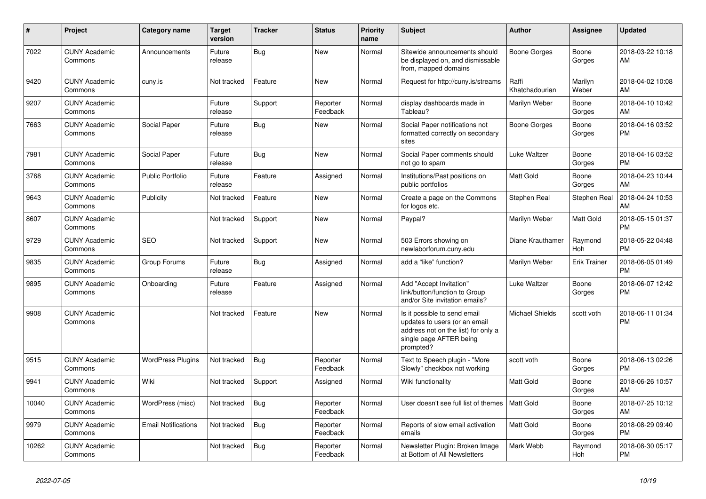| #     | Project                         | <b>Category name</b>       | <b>Target</b><br>version | <b>Tracker</b> | <b>Status</b>        | <b>Priority</b><br>name | <b>Subject</b>                                                                                                                               | <b>Author</b>           | Assignee            | <b>Updated</b>                |
|-------|---------------------------------|----------------------------|--------------------------|----------------|----------------------|-------------------------|----------------------------------------------------------------------------------------------------------------------------------------------|-------------------------|---------------------|-------------------------------|
| 7022  | <b>CUNY Academic</b><br>Commons | Announcements              | Future<br>release        | Bug            | <b>New</b>           | Normal                  | Sitewide announcements should<br>be displayed on, and dismissable<br>from, mapped domains                                                    | Boone Gorges            | Boone<br>Gorges     | 2018-03-22 10:18<br>AM        |
| 9420  | <b>CUNY Academic</b><br>Commons | cuny.is                    | Not tracked              | Feature        | <b>New</b>           | Normal                  | Request for http://cuny.is/streams                                                                                                           | Raffi<br>Khatchadourian | Marilyn<br>Weber    | 2018-04-02 10:08<br>AM        |
| 9207  | <b>CUNY Academic</b><br>Commons |                            | Future<br>release        | Support        | Reporter<br>Feedback | Normal                  | display dashboards made in<br>Tableau?                                                                                                       | Marilyn Weber           | Boone<br>Gorges     | 2018-04-10 10:42<br>AM        |
| 7663  | <b>CUNY Academic</b><br>Commons | Social Paper               | Future<br>release        | <b>Bug</b>     | <b>New</b>           | Normal                  | Social Paper notifications not<br>formatted correctly on secondary<br>sites                                                                  | Boone Gorges            | Boone<br>Gorges     | 2018-04-16 03:52<br><b>PM</b> |
| 7981  | <b>CUNY Academic</b><br>Commons | Social Paper               | Future<br>release        | <b>Bug</b>     | New                  | Normal                  | Social Paper comments should<br>not go to spam                                                                                               | Luke Waltzer            | Boone<br>Gorges     | 2018-04-16 03:52<br><b>PM</b> |
| 3768  | <b>CUNY Academic</b><br>Commons | <b>Public Portfolio</b>    | Future<br>release        | Feature        | Assigned             | Normal                  | Institutions/Past positions on<br>public portfolios                                                                                          | <b>Matt Gold</b>        | Boone<br>Gorges     | 2018-04-23 10:44<br>AM        |
| 9643  | <b>CUNY Academic</b><br>Commons | Publicity                  | Not tracked              | Feature        | <b>New</b>           | Normal                  | Create a page on the Commons<br>for logos etc.                                                                                               | Stephen Real            | Stephen Real        | 2018-04-24 10:53<br>AM        |
| 8607  | <b>CUNY Academic</b><br>Commons |                            | Not tracked              | Support        | <b>New</b>           | Normal                  | Paypal?                                                                                                                                      | Marilyn Weber           | Matt Gold           | 2018-05-15 01:37<br><b>PM</b> |
| 9729  | <b>CUNY Academic</b><br>Commons | SEO                        | Not tracked              | Support        | <b>New</b>           | Normal                  | 503 Errors showing on<br>newlaborforum.cuny.edu                                                                                              | Diane Krauthamer        | Raymond<br>Hoh      | 2018-05-22 04:48<br><b>PM</b> |
| 9835  | <b>CUNY Academic</b><br>Commons | Group Forums               | Future<br>release        | <b>Bug</b>     | Assigned             | Normal                  | add a "like" function?                                                                                                                       | Marilyn Weber           | <b>Erik Trainer</b> | 2018-06-05 01:49<br><b>PM</b> |
| 9895  | <b>CUNY Academic</b><br>Commons | Onboarding                 | Future<br>release        | Feature        | Assigned             | Normal                  | Add "Accept Invitation"<br>link/button/function to Group<br>and/or Site invitation emails?                                                   | Luke Waltzer            | Boone<br>Gorges     | 2018-06-07 12:42<br><b>PM</b> |
| 9908  | <b>CUNY Academic</b><br>Commons |                            | Not tracked              | Feature        | <b>New</b>           | Normal                  | Is it possible to send email<br>updates to users (or an email<br>address not on the list) for only a<br>single page AFTER being<br>prompted? | <b>Michael Shields</b>  | scott voth          | 2018-06-11 01:34<br><b>PM</b> |
| 9515  | <b>CUNY Academic</b><br>Commons | <b>WordPress Plugins</b>   | Not tracked              | Bug            | Reporter<br>Feedback | Normal                  | Text to Speech plugin - "More<br>Slowly" checkbox not working                                                                                | scott voth              | Boone<br>Gorges     | 2018-06-13 02:26<br><b>PM</b> |
| 9941  | <b>CUNY Academic</b><br>Commons | Wiki                       | Not tracked              | Support        | Assigned             | Normal                  | Wiki functionality                                                                                                                           | Matt Gold               | Boone<br>Gorges     | 2018-06-26 10:57<br>AM        |
| 10040 | <b>CUNY Academic</b><br>Commons | WordPress (misc)           | Not tracked              | Bug            | Reporter<br>Feedback | Normal                  | User doesn't see full list of themes                                                                                                         | l Matt Gold             | Boone<br>Gorges     | 2018-07-25 10:12<br>AM        |
| 9979  | <b>CUNY Academic</b><br>Commons | <b>Email Notifications</b> | Not tracked              | Bug            | Reporter<br>Feedback | Normal                  | Reports of slow email activation<br>emails                                                                                                   | <b>Matt Gold</b>        | Boone<br>Gorges     | 2018-08-29 09:40<br><b>PM</b> |
| 10262 | <b>CUNY Academic</b><br>Commons |                            | Not tracked              | Bug            | Reporter<br>Feedback | Normal                  | Newsletter Plugin: Broken Image<br>at Bottom of All Newsletters                                                                              | Mark Webb               | Raymond<br>Hoh      | 2018-08-30 05:17<br><b>PM</b> |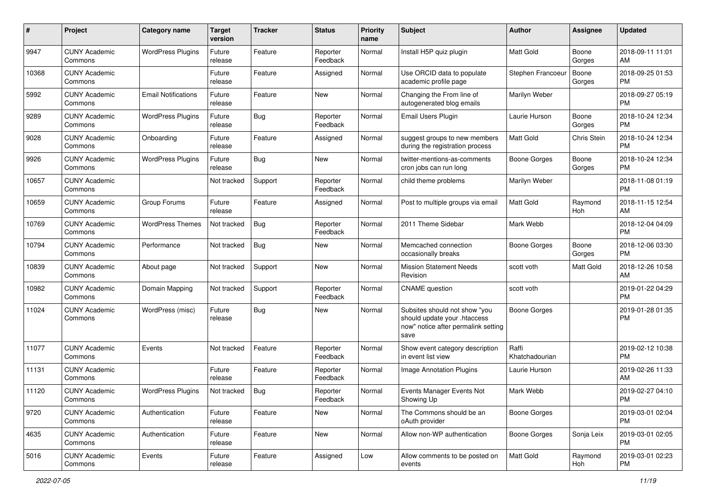| #     | Project                         | <b>Category name</b>       | <b>Target</b><br>version | <b>Tracker</b> | <b>Status</b>        | <b>Priority</b><br>name | <b>Subject</b>                                                                                               | Author                  | Assignee        | <b>Updated</b>                |
|-------|---------------------------------|----------------------------|--------------------------|----------------|----------------------|-------------------------|--------------------------------------------------------------------------------------------------------------|-------------------------|-----------------|-------------------------------|
| 9947  | <b>CUNY Academic</b><br>Commons | <b>WordPress Plugins</b>   | Future<br>release        | Feature        | Reporter<br>Feedback | Normal                  | Install H5P quiz plugin                                                                                      | <b>Matt Gold</b>        | Boone<br>Gorges | 2018-09-11 11:01<br>AM        |
| 10368 | <b>CUNY Academic</b><br>Commons |                            | Future<br>release        | Feature        | Assigned             | Normal                  | Use ORCID data to populate<br>academic profile page                                                          | Stephen Francoeu        | Boone<br>Gorges | 2018-09-25 01:53<br><b>PM</b> |
| 5992  | <b>CUNY Academic</b><br>Commons | <b>Email Notifications</b> | Future<br>release        | Feature        | New                  | Normal                  | Changing the From line of<br>autogenerated blog emails                                                       | Marilyn Weber           |                 | 2018-09-27 05:19<br><b>PM</b> |
| 9289  | <b>CUNY Academic</b><br>Commons | <b>WordPress Plugins</b>   | Future<br>release        | Bug            | Reporter<br>Feedback | Normal                  | Email Users Plugin                                                                                           | Laurie Hurson           | Boone<br>Gorges | 2018-10-24 12:34<br><b>PM</b> |
| 9028  | <b>CUNY Academic</b><br>Commons | Onboarding                 | Future<br>release        | Feature        | Assigned             | Normal                  | suggest groups to new members<br>during the registration process                                             | <b>Matt Gold</b>        | Chris Stein     | 2018-10-24 12:34<br><b>PM</b> |
| 9926  | <b>CUNY Academic</b><br>Commons | <b>WordPress Plugins</b>   | Future<br>release        | Bug            | New                  | Normal                  | twitter-mentions-as-comments<br>cron jobs can run long                                                       | Boone Gorges            | Boone<br>Gorges | 2018-10-24 12:34<br><b>PM</b> |
| 10657 | <b>CUNY Academic</b><br>Commons |                            | Not tracked              | Support        | Reporter<br>Feedback | Normal                  | child theme problems                                                                                         | Marilyn Weber           |                 | 2018-11-08 01:19<br><b>PM</b> |
| 10659 | <b>CUNY Academic</b><br>Commons | Group Forums               | Future<br>release        | Feature        | Assigned             | Normal                  | Post to multiple groups via email                                                                            | <b>Matt Gold</b>        | Raymond<br>Hoh  | 2018-11-15 12:54<br>AM        |
| 10769 | <b>CUNY Academic</b><br>Commons | <b>WordPress Themes</b>    | Not tracked              | Bug            | Reporter<br>Feedback | Normal                  | 2011 Theme Sidebar                                                                                           | Mark Webb               |                 | 2018-12-04 04:09<br><b>PM</b> |
| 10794 | <b>CUNY Academic</b><br>Commons | Performance                | Not tracked              | Bug            | New                  | Normal                  | Memcached connection<br>occasionally breaks                                                                  | Boone Gorges            | Boone<br>Gorges | 2018-12-06 03:30<br><b>PM</b> |
| 10839 | <b>CUNY Academic</b><br>Commons | About page                 | Not tracked              | Support        | New                  | Normal                  | <b>Mission Statement Needs</b><br>Revision                                                                   | scott voth              | Matt Gold       | 2018-12-26 10:58<br>AM        |
| 10982 | <b>CUNY Academic</b><br>Commons | Domain Mapping             | Not tracked              | Support        | Reporter<br>Feedback | Normal                  | <b>CNAME</b> question                                                                                        | scott voth              |                 | 2019-01-22 04:29<br><b>PM</b> |
| 11024 | <b>CUNY Academic</b><br>Commons | WordPress (misc)           | Future<br>release        | Bug            | New                  | Normal                  | Subsites should not show "you<br>should update your .htaccess<br>now" notice after permalink setting<br>save | Boone Gorges            |                 | 2019-01-28 01:35<br><b>PM</b> |
| 11077 | <b>CUNY Academic</b><br>Commons | Events                     | Not tracked              | Feature        | Reporter<br>Feedback | Normal                  | Show event category description<br>in event list view                                                        | Raffi<br>Khatchadourian |                 | 2019-02-12 10:38<br><b>PM</b> |
| 11131 | <b>CUNY Academic</b><br>Commons |                            | Future<br>release        | Feature        | Reporter<br>Feedback | Normal                  | Image Annotation Plugins                                                                                     | Laurie Hurson           |                 | 2019-02-26 11:33<br>AM        |
| 11120 | <b>CUNY Academic</b><br>Commons | <b>WordPress Plugins</b>   | Not tracked              | Bug            | Reporter<br>Feedback | Normal                  | Events Manager Events Not<br>Showing Up                                                                      | Mark Webb               |                 | 2019-02-27 04:10<br><b>PM</b> |
| 9720  | <b>CUNY Academic</b><br>Commons | Authentication             | Future<br>release        | Feature        | New                  | Normal                  | The Commons should be an<br>oAuth provider                                                                   | Boone Gorges            |                 | 2019-03-01 02:04<br><b>PM</b> |
| 4635  | <b>CUNY Academic</b><br>Commons | Authentication             | Future<br>release        | Feature        | New                  | Normal                  | Allow non-WP authentication                                                                                  | Boone Gorges            | Sonja Leix      | 2019-03-01 02:05<br><b>PM</b> |
| 5016  | <b>CUNY Academic</b><br>Commons | Events                     | Future<br>release        | Feature        | Assigned             | Low                     | Allow comments to be posted on<br>events                                                                     | Matt Gold               | Raymond<br>Hoh  | 2019-03-01 02:23<br><b>PM</b> |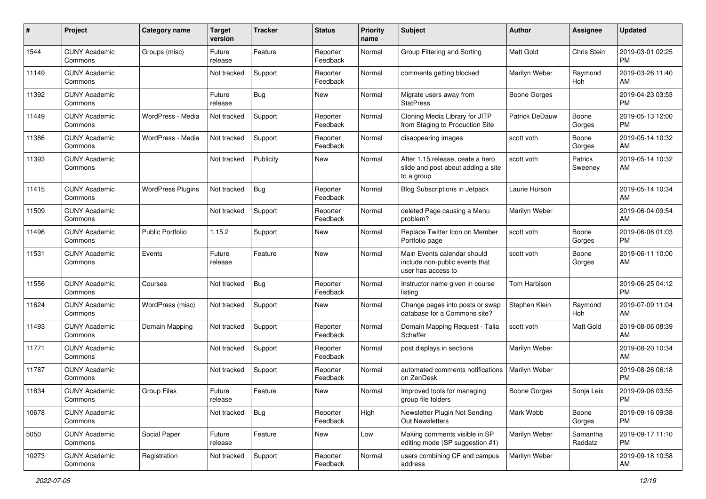| #     | Project                         | <b>Category name</b>     | <b>Target</b><br>version | <b>Tracker</b> | <b>Status</b>        | <b>Priority</b><br>name | <b>Subject</b>                                                                       | Author                | <b>Assignee</b>     | <b>Updated</b>                |
|-------|---------------------------------|--------------------------|--------------------------|----------------|----------------------|-------------------------|--------------------------------------------------------------------------------------|-----------------------|---------------------|-------------------------------|
| 1544  | <b>CUNY Academic</b><br>Commons | Groups (misc)            | Future<br>release        | Feature        | Reporter<br>Feedback | Normal                  | Group Filtering and Sorting                                                          | <b>Matt Gold</b>      | Chris Stein         | 2019-03-01 02:25<br><b>PM</b> |
| 11149 | <b>CUNY Academic</b><br>Commons |                          | Not tracked              | Support        | Reporter<br>Feedback | Normal                  | comments getting blocked                                                             | Marilyn Weber         | Raymond<br>Hoh      | 2019-03-26 11:40<br>AM        |
| 11392 | <b>CUNY Academic</b><br>Commons |                          | Future<br>release        | Bug            | New                  | Normal                  | Migrate users away from<br><b>StatPress</b>                                          | <b>Boone Gorges</b>   |                     | 2019-04-23 03:53<br><b>PM</b> |
| 11449 | <b>CUNY Academic</b><br>Commons | WordPress - Media        | Not tracked              | Support        | Reporter<br>Feedback | Normal                  | Cloning Media Library for JITP<br>from Staging to Production Site                    | <b>Patrick DeDauw</b> | Boone<br>Gorges     | 2019-05-13 12:00<br><b>PM</b> |
| 11386 | <b>CUNY Academic</b><br>Commons | WordPress - Media        | Not tracked              | Support        | Reporter<br>Feedback | Normal                  | disappearing images                                                                  | scott voth            | Boone<br>Gorges     | 2019-05-14 10:32<br>AM        |
| 11393 | <b>CUNY Academic</b><br>Commons |                          | Not tracked              | Publicity      | New                  | Normal                  | After 1.15 release, ceate a hero<br>slide and post about adding a site<br>to a group | scott voth            | Patrick<br>Sweeney  | 2019-05-14 10:32<br>AM        |
| 11415 | <b>CUNY Academic</b><br>Commons | <b>WordPress Plugins</b> | Not tracked              | Bug            | Reporter<br>Feedback | Normal                  | <b>Blog Subscriptions in Jetpack</b>                                                 | Laurie Hurson         |                     | 2019-05-14 10:34<br>AM        |
| 11509 | <b>CUNY Academic</b><br>Commons |                          | Not tracked              | Support        | Reporter<br>Feedback | Normal                  | deleted Page causing a Menu<br>problem?                                              | Marilyn Weber         |                     | 2019-06-04 09:54<br>AM        |
| 11496 | <b>CUNY Academic</b><br>Commons | <b>Public Portfolio</b>  | 1.15.2                   | Support        | New                  | Normal                  | Replace Twitter Icon on Member<br>Portfolio page                                     | scott voth            | Boone<br>Gorges     | 2019-06-06 01:03<br>PM        |
| 11531 | <b>CUNY Academic</b><br>Commons | Events                   | Future<br>release        | Feature        | <b>New</b>           | Normal                  | Main Events calendar should<br>include non-public events that<br>user has access to  | scott voth            | Boone<br>Gorges     | 2019-06-11 10:00<br>AM        |
| 11556 | <b>CUNY Academic</b><br>Commons | Courses                  | Not tracked              | Bug            | Reporter<br>Feedback | Normal                  | Instructor name given in course<br>listing                                           | <b>Tom Harbison</b>   |                     | 2019-06-25 04:12<br><b>PM</b> |
| 11624 | <b>CUNY Academic</b><br>Commons | WordPress (misc)         | Not tracked              | Support        | New                  | Normal                  | Change pages into posts or swap<br>database for a Commons site?                      | Stephen Klein         | Raymond<br>Hoh      | 2019-07-09 11:04<br>AM        |
| 11493 | <b>CUNY Academic</b><br>Commons | Domain Mapping           | Not tracked              | Support        | Reporter<br>Feedback | Normal                  | Domain Mapping Request - Talia<br>Schaffer                                           | scott voth            | Matt Gold           | 2019-08-06 08:39<br>AM        |
| 11771 | <b>CUNY Academic</b><br>Commons |                          | Not tracked              | Support        | Reporter<br>Feedback | Normal                  | post displays in sections                                                            | Marilyn Weber         |                     | 2019-08-20 10:34<br>AM        |
| 11787 | <b>CUNY Academic</b><br>Commons |                          | Not tracked              | Support        | Reporter<br>Feedback | Normal                  | automated comments notifications   Marilyn Weber<br>on ZenDesk                       |                       |                     | 2019-08-26 06:18<br><b>PM</b> |
| 11834 | <b>CUNY Academic</b><br>Commons | Group Files              | Future<br>release        | Feature        | New                  | Normal                  | Improved tools for managing<br>group file folders                                    | <b>Boone Gorges</b>   | Sonja Leix          | 2019-09-06 03:55<br>PM        |
| 10678 | <b>CUNY Academic</b><br>Commons |                          | Not tracked              | Bug            | Reporter<br>Feedback | High                    | Newsletter Plugin Not Sending<br>Out Newsletters                                     | Mark Webb             | Boone<br>Gorges     | 2019-09-16 09:38<br><b>PM</b> |
| 5050  | <b>CUNY Academic</b><br>Commons | Social Paper             | Future<br>release        | Feature        | New                  | Low                     | Making comments visible in SP<br>editing mode (SP suggestion #1)                     | Marilyn Weber         | Samantha<br>Raddatz | 2019-09-17 11:10<br><b>PM</b> |
| 10273 | <b>CUNY Academic</b><br>Commons | Registration             | Not tracked              | Support        | Reporter<br>Feedback | Normal                  | users combining CF and campus<br>address                                             | Marilyn Weber         |                     | 2019-09-18 10:58<br>AM        |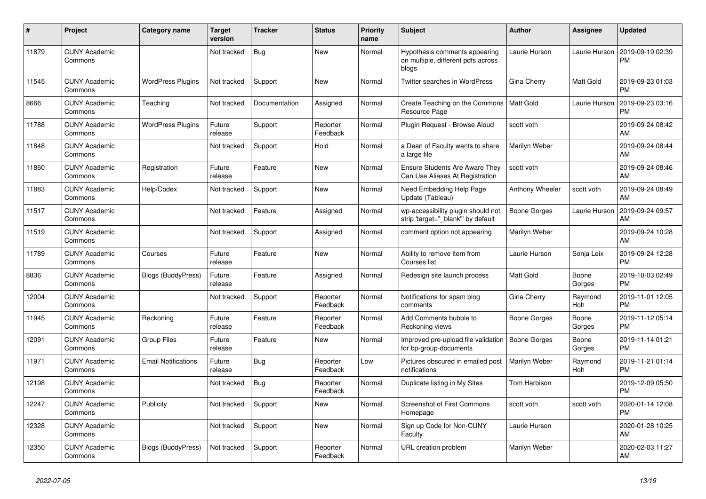| #     | Project                         | <b>Category name</b>       | <b>Target</b><br>version | <b>Tracker</b> | <b>Status</b>        | <b>Priority</b><br>name | <b>Subject</b>                                                               | <b>Author</b>       | Assignee        | <b>Updated</b>                |
|-------|---------------------------------|----------------------------|--------------------------|----------------|----------------------|-------------------------|------------------------------------------------------------------------------|---------------------|-----------------|-------------------------------|
| 11879 | <b>CUNY Academic</b><br>Commons |                            | Not tracked              | Bug            | New                  | Normal                  | Hypothesis comments appearing<br>on multiple, different pdfs across<br>blogs | Laurie Hurson       | Laurie Hurson   | 2019-09-19 02:39<br><b>PM</b> |
| 11545 | <b>CUNY Academic</b><br>Commons | <b>WordPress Plugins</b>   | Not tracked              | Support        | <b>New</b>           | Normal                  | Twitter searches in WordPress                                                | Gina Cherry         | Matt Gold       | 2019-09-23 01:03<br><b>PM</b> |
| 8666  | <b>CUNY Academic</b><br>Commons | Teaching                   | Not tracked              | Documentation  | Assigned             | Normal                  | Create Teaching on the Commons<br>Resource Page                              | Matt Gold           | Laurie Hurson   | 2019-09-23 03:16<br><b>PM</b> |
| 11788 | <b>CUNY Academic</b><br>Commons | <b>WordPress Plugins</b>   | Future<br>release        | Support        | Reporter<br>Feedback | Normal                  | Plugin Request - Browse Aloud                                                | scott voth          |                 | 2019-09-24 08:42<br>AM        |
| 11848 | <b>CUNY Academic</b><br>Commons |                            | Not tracked              | Support        | Hold                 | Normal                  | a Dean of Faculty wants to share<br>a large file                             | Marilyn Weber       |                 | 2019-09-24 08:44<br>AM        |
| 11860 | <b>CUNY Academic</b><br>Commons | Registration               | Future<br>release        | Feature        | <b>New</b>           | Normal                  | <b>Ensure Students Are Aware They</b><br>Can Use Aliases At Registration     | scott voth          |                 | 2019-09-24 08:46<br>AM        |
| 11883 | <b>CUNY Academic</b><br>Commons | Help/Codex                 | Not tracked              | Support        | <b>New</b>           | Normal                  | Need Embedding Help Page<br>Update (Tableau)                                 | Anthony Wheeler     | scott voth      | 2019-09-24 08:49<br>AM        |
| 11517 | <b>CUNY Academic</b><br>Commons |                            | Not tracked              | Feature        | Assigned             | Normal                  | wp-accessibility plugin should not<br>strip 'target="_blank"' by default     | Boone Gorges        | Laurie Hurson   | 2019-09-24 09:57<br>AM        |
| 11519 | <b>CUNY Academic</b><br>Commons |                            | Not tracked              | Support        | Assigned             | Normal                  | comment option not appearing                                                 | Marilyn Weber       |                 | 2019-09-24 10:28<br>AM        |
| 11789 | <b>CUNY Academic</b><br>Commons | Courses                    | Future<br>release        | Feature        | New                  | Normal                  | Ability to remove item from<br>Courses list                                  | Laurie Hurson       | Sonja Leix      | 2019-09-24 12:28<br><b>PM</b> |
| 8836  | <b>CUNY Academic</b><br>Commons | <b>Blogs (BuddyPress)</b>  | Future<br>release        | Feature        | Assigned             | Normal                  | Redesign site launch process                                                 | <b>Matt Gold</b>    | Boone<br>Gorges | 2019-10-03 02:49<br><b>PM</b> |
| 12004 | <b>CUNY Academic</b><br>Commons |                            | Not tracked              | Support        | Reporter<br>Feedback | Normal                  | Notifications for spam blog<br>comments                                      | Gina Cherry         | Raymond<br>Hoh  | 2019-11-01 12:05<br><b>PM</b> |
| 11945 | <b>CUNY Academic</b><br>Commons | Reckoning                  | Future<br>release        | Feature        | Reporter<br>Feedback | Normal                  | Add Comments bubble to<br>Reckoning views                                    | Boone Gorges        | Boone<br>Gorges | 2019-11-12 05:14<br><b>PM</b> |
| 12091 | <b>CUNY Academic</b><br>Commons | Group Files                | Future<br>release        | Feature        | <b>New</b>           | Normal                  | Improved pre-upload file validation<br>for bp-group-documents                | <b>Boone Gorges</b> | Boone<br>Gorges | 2019-11-14 01:21<br><b>PM</b> |
| 11971 | <b>CUNY Academic</b><br>Commons | <b>Email Notifications</b> | Future<br>release        | Bug            | Reporter<br>Feedback | Low                     | Pictures obscured in emailed post<br>notifications                           | Marilyn Weber       | Raymond<br>Hoh  | 2019-11-21 01:14<br><b>PM</b> |
| 12198 | <b>CUNY Academic</b><br>Commons |                            | Not tracked              | Bug            | Reporter<br>Feedback | Normal                  | Duplicate listing in My Sites                                                | <b>Tom Harbison</b> |                 | 2019-12-09 05:50<br><b>PM</b> |
| 12247 | <b>CUNY Academic</b><br>Commons | Publicity                  | Not tracked              | Support        | <b>New</b>           | Normal                  | Screenshot of First Commons<br>Homepage                                      | scott voth          | scott voth      | 2020-01-14 12:08<br><b>PM</b> |
| 12328 | <b>CUNY Academic</b><br>Commons |                            | Not tracked              | Support        | <b>New</b>           | Normal                  | Sign up Code for Non-CUNY<br>Faculty                                         | Laurie Hurson       |                 | 2020-01-28 10:25<br>AM        |
| 12350 | <b>CUNY Academic</b><br>Commons | Blogs (BuddyPress)         | Not tracked              | Support        | Reporter<br>Feedback | Normal                  | URL creation problem                                                         | Marilyn Weber       |                 | 2020-02-03 11:27<br>AM        |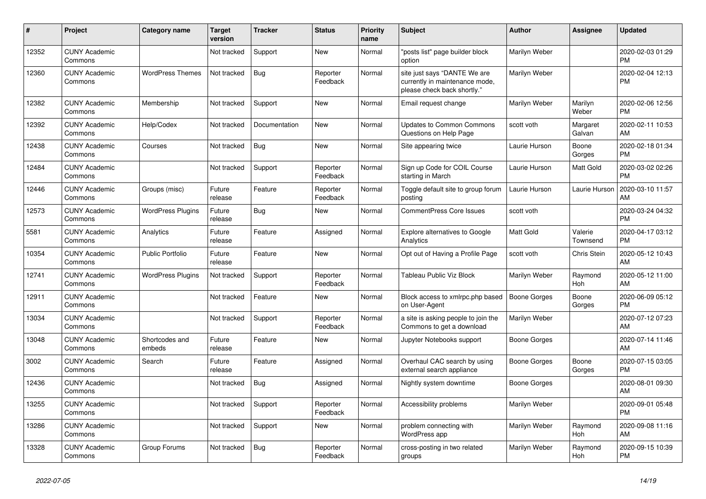| #     | Project                         | <b>Category name</b>     | <b>Target</b><br>version | <b>Tracker</b> | <b>Status</b>        | <b>Priority</b><br>name | <b>Subject</b>                                                                                | <b>Author</b>    | <b>Assignee</b>     | <b>Updated</b>                |
|-------|---------------------------------|--------------------------|--------------------------|----------------|----------------------|-------------------------|-----------------------------------------------------------------------------------------------|------------------|---------------------|-------------------------------|
| 12352 | <b>CUNY Academic</b><br>Commons |                          | Not tracked              | Support        | New                  | Normal                  | "posts list" page builder block<br>option                                                     | Marilyn Weber    |                     | 2020-02-03 01:29<br><b>PM</b> |
| 12360 | <b>CUNY Academic</b><br>Commons | <b>WordPress Themes</b>  | Not tracked              | Bug            | Reporter<br>Feedback | Normal                  | site just says "DANTE We are<br>currently in maintenance mode,<br>please check back shortly." | Marilyn Weber    |                     | 2020-02-04 12:13<br><b>PM</b> |
| 12382 | <b>CUNY Academic</b><br>Commons | Membership               | Not tracked              | Support        | <b>New</b>           | Normal                  | Email request change                                                                          | Marilyn Weber    | Marilyn<br>Weber    | 2020-02-06 12:56<br><b>PM</b> |
| 12392 | <b>CUNY Academic</b><br>Commons | Help/Codex               | Not tracked              | Documentation  | New                  | Normal                  | <b>Updates to Common Commons</b><br>Questions on Help Page                                    | scott voth       | Margaret<br>Galvan  | 2020-02-11 10:53<br>AM        |
| 12438 | <b>CUNY Academic</b><br>Commons | Courses                  | Not tracked              | Bug            | <b>New</b>           | Normal                  | Site appearing twice                                                                          | Laurie Hurson    | Boone<br>Gorges     | 2020-02-18 01:34<br><b>PM</b> |
| 12484 | <b>CUNY Academic</b><br>Commons |                          | Not tracked              | Support        | Reporter<br>Feedback | Normal                  | Sign up Code for COIL Course<br>starting in March                                             | Laurie Hurson    | Matt Gold           | 2020-03-02 02:26<br><b>PM</b> |
| 12446 | <b>CUNY Academic</b><br>Commons | Groups (misc)            | Future<br>release        | Feature        | Reporter<br>Feedback | Normal                  | Toggle default site to group forum<br>posting                                                 | Laurie Hurson    | Laurie Hurson       | 2020-03-10 11:57<br>AM        |
| 12573 | <b>CUNY Academic</b><br>Commons | <b>WordPress Plugins</b> | Future<br>release        | Bug            | <b>New</b>           | Normal                  | <b>CommentPress Core Issues</b>                                                               | scott voth       |                     | 2020-03-24 04:32<br><b>PM</b> |
| 5581  | <b>CUNY Academic</b><br>Commons | Analytics                | Future<br>release        | Feature        | Assigned             | Normal                  | Explore alternatives to Google<br>Analytics                                                   | <b>Matt Gold</b> | Valerie<br>Townsend | 2020-04-17 03:12<br><b>PM</b> |
| 10354 | <b>CUNY Academic</b><br>Commons | <b>Public Portfolio</b>  | Future<br>release        | Feature        | <b>New</b>           | Normal                  | Opt out of Having a Profile Page                                                              | scott voth       | Chris Stein         | 2020-05-12 10:43<br>AM        |
| 12741 | <b>CUNY Academic</b><br>Commons | <b>WordPress Plugins</b> | Not tracked              | Support        | Reporter<br>Feedback | Normal                  | Tableau Public Viz Block                                                                      | Marilyn Weber    | Raymond<br>Hoh      | 2020-05-12 11:00<br>AM        |
| 12911 | <b>CUNY Academic</b><br>Commons |                          | Not tracked              | Feature        | <b>New</b>           | Normal                  | Block access to xmlrpc.php based<br>on User-Agent                                             | Boone Gorges     | Boone<br>Gorges     | 2020-06-09 05:12<br><b>PM</b> |
| 13034 | <b>CUNY Academic</b><br>Commons |                          | Not tracked              | Support        | Reporter<br>Feedback | Normal                  | a site is asking people to join the<br>Commons to get a download                              | Marilyn Weber    |                     | 2020-07-12 07:23<br>AM        |
| 13048 | <b>CUNY Academic</b><br>Commons | Shortcodes and<br>embeds | Future<br>release        | Feature        | New                  | Normal                  | Jupyter Notebooks support                                                                     | Boone Gorges     |                     | 2020-07-14 11:46<br>AM        |
| 3002  | <b>CUNY Academic</b><br>Commons | Search                   | Future<br>release        | Feature        | Assigned             | Normal                  | Overhaul CAC search by using<br>external search appliance                                     | Boone Gorges     | Boone<br>Gorges     | 2020-07-15 03:05<br><b>PM</b> |
| 12436 | <b>CUNY Academic</b><br>Commons |                          | Not tracked              | Bug            | Assigned             | Normal                  | Nightly system downtime                                                                       | Boone Gorges     |                     | 2020-08-01 09:30<br>AM        |
| 13255 | <b>CUNY Academic</b><br>Commons |                          | Not tracked              | Support        | Reporter<br>Feedback | Normal                  | Accessibility problems                                                                        | Marilyn Weber    |                     | 2020-09-01 05:48<br><b>PM</b> |
| 13286 | <b>CUNY Academic</b><br>Commons |                          | Not tracked              | Support        | <b>New</b>           | Normal                  | problem connecting with<br>WordPress app                                                      | Marilyn Weber    | Raymond<br>Hoh      | 2020-09-08 11:16<br>AM        |
| 13328 | <b>CUNY Academic</b><br>Commons | Group Forums             | Not tracked              | Bug            | Reporter<br>Feedback | Normal                  | cross-posting in two related<br>groups                                                        | Marilyn Weber    | Raymond<br>Hoh      | 2020-09-15 10:39<br><b>PM</b> |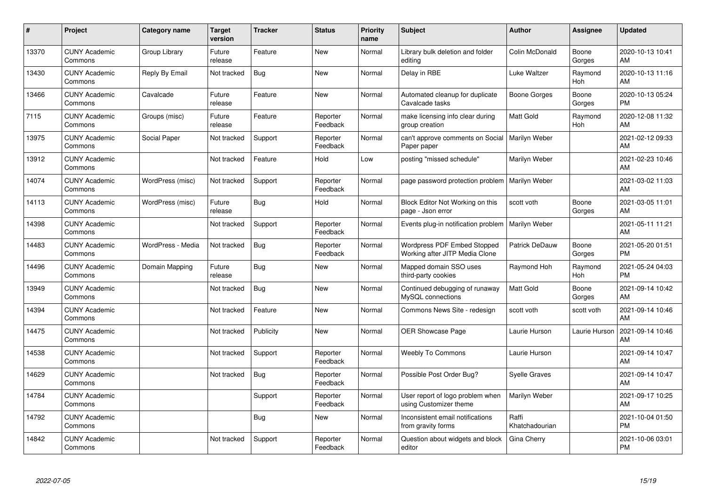| #     | Project                         | <b>Category name</b> | Target<br>version | <b>Tracker</b> | <b>Status</b>        | <b>Priority</b><br>name | <b>Subject</b>                                                | <b>Author</b>           | <b>Assignee</b> | <b>Updated</b>                |
|-------|---------------------------------|----------------------|-------------------|----------------|----------------------|-------------------------|---------------------------------------------------------------|-------------------------|-----------------|-------------------------------|
| 13370 | <b>CUNY Academic</b><br>Commons | Group Library        | Future<br>release | Feature        | <b>New</b>           | Normal                  | Library bulk deletion and folder<br>editina                   | Colin McDonald          | Boone<br>Gorges | 2020-10-13 10:41<br><b>AM</b> |
| 13430 | <b>CUNY Academic</b><br>Commons | Reply By Email       | Not tracked       | Bug            | <b>New</b>           | Normal                  | Delay in RBE                                                  | Luke Waltzer            | Raymond<br>Hoh  | 2020-10-13 11:16<br>AM        |
| 13466 | <b>CUNY Academic</b><br>Commons | Cavalcade            | Future<br>release | Feature        | <b>New</b>           | Normal                  | Automated cleanup for duplicate<br>Cavalcade tasks            | Boone Gorges            | Boone<br>Gorges | 2020-10-13 05:24<br><b>PM</b> |
| 7115  | <b>CUNY Academic</b><br>Commons | Groups (misc)        | Future<br>release | Feature        | Reporter<br>Feedback | Normal                  | make licensing info clear during<br>group creation            | Matt Gold               | Raymond<br>Hoh  | 2020-12-08 11:32<br>AM        |
| 13975 | <b>CUNY Academic</b><br>Commons | Social Paper         | Not tracked       | Support        | Reporter<br>Feedback | Normal                  | can't approve comments on Social<br>Paper paper               | Marilyn Weber           |                 | 2021-02-12 09:33<br>AM        |
| 13912 | <b>CUNY Academic</b><br>Commons |                      | Not tracked       | Feature        | Hold                 | Low                     | posting "missed schedule"                                     | Marilyn Weber           |                 | 2021-02-23 10:46<br><b>AM</b> |
| 14074 | <b>CUNY Academic</b><br>Commons | WordPress (misc)     | Not tracked       | Support        | Reporter<br>Feedback | Normal                  | page password protection problem                              | Marilyn Weber           |                 | 2021-03-02 11:03<br>AM        |
| 14113 | <b>CUNY Academic</b><br>Commons | WordPress (misc)     | Future<br>release | Bug            | Hold                 | Normal                  | Block Editor Not Working on this<br>page - Json error         | scott voth              | Boone<br>Gorges | 2021-03-05 11:01<br>AM        |
| 14398 | <b>CUNY Academic</b><br>Commons |                      | Not tracked       | Support        | Reporter<br>Feedback | Normal                  | Events plug-in notification problem                           | Marilyn Weber           |                 | 2021-05-11 11:21<br>AM        |
| 14483 | <b>CUNY Academic</b><br>Commons | WordPress - Media    | Not tracked       | <b>Bug</b>     | Reporter<br>Feedback | Normal                  | Wordpress PDF Embed Stopped<br>Working after JITP Media Clone | <b>Patrick DeDauw</b>   | Boone<br>Gorges | 2021-05-20 01:51<br>PM        |
| 14496 | <b>CUNY Academic</b><br>Commons | Domain Mapping       | Future<br>release | Bug            | New                  | Normal                  | Mapped domain SSO uses<br>third-party cookies                 | Raymond Hoh             | Raymond<br>Hoh  | 2021-05-24 04:03<br><b>PM</b> |
| 13949 | <b>CUNY Academic</b><br>Commons |                      | Not tracked       | <b>Bug</b>     | <b>New</b>           | Normal                  | Continued debugging of runaway<br>MySQL connections           | Matt Gold               | Boone<br>Gorges | 2021-09-14 10:42<br>AM        |
| 14394 | <b>CUNY Academic</b><br>Commons |                      | Not tracked       | Feature        | <b>New</b>           | Normal                  | Commons News Site - redesign                                  | scott voth              | scott voth      | 2021-09-14 10:46<br>AM        |
| 14475 | <b>CUNY Academic</b><br>Commons |                      | Not tracked       | Publicity      | <b>New</b>           | Normal                  | OER Showcase Page                                             | Laurie Hurson           | Laurie Hurson   | 2021-09-14 10:46<br>AM        |
| 14538 | <b>CUNY Academic</b><br>Commons |                      | Not tracked       | Support        | Reporter<br>Feedback | Normal                  | <b>Weebly To Commons</b>                                      | Laurie Hurson           |                 | 2021-09-14 10:47<br>AM        |
| 14629 | <b>CUNY Academic</b><br>Commons |                      | Not tracked       | Bug            | Reporter<br>Feedback | Normal                  | Possible Post Order Bug?                                      | <b>Syelle Graves</b>    |                 | 2021-09-14 10:47<br><b>AM</b> |
| 14784 | <b>CUNY Academic</b><br>Commons |                      |                   | Support        | Reporter<br>Feedback | Normal                  | User report of logo problem when<br>using Customizer theme    | Marilyn Weber           |                 | 2021-09-17 10:25<br>AM        |
| 14792 | <b>CUNY Academic</b><br>Commons |                      |                   | Bug            | <b>New</b>           | Normal                  | Inconsistent email notifications<br>from gravity forms        | Raffi<br>Khatchadourian |                 | 2021-10-04 01:50<br><b>PM</b> |
| 14842 | <b>CUNY Academic</b><br>Commons |                      | Not tracked       | Support        | Reporter<br>Feedback | Normal                  | Question about widgets and block<br>editor                    | Gina Cherry             |                 | 2021-10-06 03:01<br>PM        |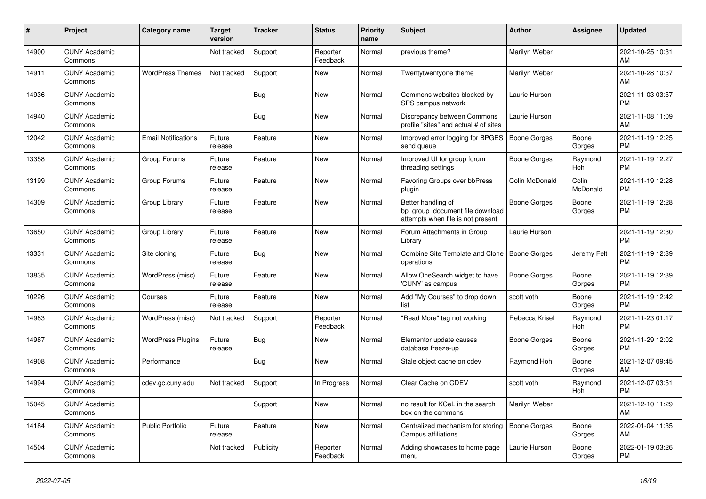| #     | Project                         | <b>Category name</b>       | <b>Target</b><br>version | <b>Tracker</b> | <b>Status</b>        | Priority<br>name | <b>Subject</b>                                                                             | <b>Author</b>       | <b>Assignee</b>   | <b>Updated</b>                |
|-------|---------------------------------|----------------------------|--------------------------|----------------|----------------------|------------------|--------------------------------------------------------------------------------------------|---------------------|-------------------|-------------------------------|
| 14900 | <b>CUNY Academic</b><br>Commons |                            | Not tracked              | Support        | Reporter<br>Feedback | Normal           | previous theme?                                                                            | Marilyn Weber       |                   | 2021-10-25 10:31<br>AM        |
| 14911 | <b>CUNY Academic</b><br>Commons | <b>WordPress Themes</b>    | Not tracked              | Support        | New                  | Normal           | Twentytwentyone theme                                                                      | Marilyn Weber       |                   | 2021-10-28 10:37<br>AM        |
| 14936 | <b>CUNY Academic</b><br>Commons |                            |                          | <b>Bug</b>     | New                  | Normal           | Commons websites blocked by<br>SPS campus network                                          | Laurie Hurson       |                   | 2021-11-03 03:57<br><b>PM</b> |
| 14940 | <b>CUNY Academic</b><br>Commons |                            |                          | <b>Bug</b>     | New                  | Normal           | Discrepancy between Commons<br>profile "sites" and actual # of sites                       | Laurie Hurson       |                   | 2021-11-08 11:09<br><b>AM</b> |
| 12042 | <b>CUNY Academic</b><br>Commons | <b>Email Notifications</b> | Future<br>release        | Feature        | <b>New</b>           | Normal           | Improved error logging for BPGES<br>send queue                                             | <b>Boone Gorges</b> | Boone<br>Gorges   | 2021-11-19 12:25<br><b>PM</b> |
| 13358 | <b>CUNY Academic</b><br>Commons | Group Forums               | Future<br>release        | Feature        | <b>New</b>           | Normal           | Improved UI for group forum<br>threading settings                                          | Boone Gorges        | Raymond<br>Hoh    | 2021-11-19 12:27<br><b>PM</b> |
| 13199 | <b>CUNY Academic</b><br>Commons | Group Forums               | Future<br>release        | Feature        | New                  | Normal           | Favoring Groups over bbPress<br>plugin                                                     | Colin McDonald      | Colin<br>McDonald | 2021-11-19 12:28<br><b>PM</b> |
| 14309 | <b>CUNY Academic</b><br>Commons | Group Library              | Future<br>release        | Feature        | <b>New</b>           | Normal           | Better handling of<br>bp_group_document file download<br>attempts when file is not present | Boone Gorges        | Boone<br>Gorges   | 2021-11-19 12:28<br><b>PM</b> |
| 13650 | <b>CUNY Academic</b><br>Commons | Group Library              | Future<br>release        | Feature        | <b>New</b>           | Normal           | Forum Attachments in Group<br>Library                                                      | Laurie Hurson       |                   | 2021-11-19 12:30<br><b>PM</b> |
| 13331 | <b>CUNY Academic</b><br>Commons | Site cloning               | Future<br>release        | Bug            | New                  | Normal           | Combine Site Template and Clone<br>operations                                              | Boone Gorges        | Jeremy Felt       | 2021-11-19 12:39<br><b>PM</b> |
| 13835 | <b>CUNY Academic</b><br>Commons | WordPress (misc)           | Future<br>release        | Feature        | New                  | Normal           | Allow OneSearch widget to have<br>'CUNY' as campus                                         | Boone Gorges        | Boone<br>Gorges   | 2021-11-19 12:39<br><b>PM</b> |
| 10226 | <b>CUNY Academic</b><br>Commons | Courses                    | Future<br>release        | Feature        | <b>New</b>           | Normal           | Add "My Courses" to drop down<br>list                                                      | scott voth          | Boone<br>Gorges   | 2021-11-19 12:42<br><b>PM</b> |
| 14983 | <b>CUNY Academic</b><br>Commons | WordPress (misc)           | Not tracked              | Support        | Reporter<br>Feedback | Normal           | "Read More" tag not working                                                                | Rebecca Krisel      | Raymond<br>Hoh    | 2021-11-23 01:17<br><b>PM</b> |
| 14987 | <b>CUNY Academic</b><br>Commons | <b>WordPress Plugins</b>   | Future<br>release        | Bug            | New                  | Normal           | Elementor update causes<br>database freeze-up                                              | Boone Gorges        | Boone<br>Gorges   | 2021-11-29 12:02<br><b>PM</b> |
| 14908 | <b>CUNY Academic</b><br>Commons | Performance                |                          | <b>Bug</b>     | <b>New</b>           | Normal           | Stale object cache on cdev                                                                 | Raymond Hoh         | Boone<br>Gorges   | 2021-12-07 09:45<br>AM        |
| 14994 | <b>CUNY Academic</b><br>Commons | cdev.gc.cuny.edu           | Not tracked              | Support        | In Progress          | Normal           | Clear Cache on CDEV                                                                        | scott voth          | Raymond<br>Hoh    | 2021-12-07 03:51<br><b>PM</b> |
| 15045 | <b>CUNY Academic</b><br>Commons |                            |                          | Support        | New                  | Normal           | no result for KCeL in the search<br>box on the commons                                     | Marilyn Weber       |                   | 2021-12-10 11:29<br>AM        |
| 14184 | <b>CUNY Academic</b><br>Commons | <b>Public Portfolio</b>    | Future<br>release        | Feature        | <b>New</b>           | Normal           | Centralized mechanism for storing<br>Campus affiliations                                   | Boone Gorges        | Boone<br>Gorges   | 2022-01-04 11:35<br>AM        |
| 14504 | <b>CUNY Academic</b><br>Commons |                            | Not tracked              | Publicity      | Reporter<br>Feedback | Normal           | Adding showcases to home page<br>menu                                                      | Laurie Hurson       | Boone<br>Gorges   | 2022-01-19 03:26<br>PM        |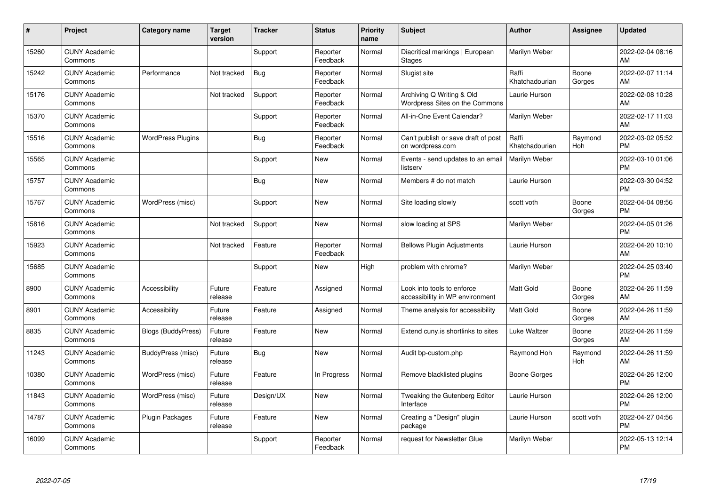| #     | Project                         | <b>Category name</b>      | <b>Target</b><br>version | <b>Tracker</b> | <b>Status</b>        | <b>Priority</b><br>name | <b>Subject</b>                                                | <b>Author</b>           | <b>Assignee</b> | <b>Updated</b>                |
|-------|---------------------------------|---------------------------|--------------------------|----------------|----------------------|-------------------------|---------------------------------------------------------------|-------------------------|-----------------|-------------------------------|
| 15260 | <b>CUNY Academic</b><br>Commons |                           |                          | Support        | Reporter<br>Feedback | Normal                  | Diacritical markings   European<br><b>Stages</b>              | Marilyn Weber           |                 | 2022-02-04 08:16<br>AM        |
| 15242 | <b>CUNY Academic</b><br>Commons | Performance               | Not tracked              | Bug            | Reporter<br>Feedback | Normal                  | Slugist site                                                  | Raffi<br>Khatchadourian | Boone<br>Gorges | 2022-02-07 11:14<br>AM        |
| 15176 | <b>CUNY Academic</b><br>Commons |                           | Not tracked              | Support        | Reporter<br>Feedback | Normal                  | Archiving Q Writing & Old<br>Wordpress Sites on the Commons   | Laurie Hurson           |                 | 2022-02-08 10:28<br>AM        |
| 15370 | <b>CUNY Academic</b><br>Commons |                           |                          | Support        | Reporter<br>Feedback | Normal                  | All-in-One Event Calendar?                                    | Marilyn Weber           |                 | 2022-02-17 11:03<br>AM        |
| 15516 | <b>CUNY Academic</b><br>Commons | <b>WordPress Plugins</b>  |                          | Bug            | Reporter<br>Feedback | Normal                  | Can't publish or save draft of post<br>on wordpress.com       | Raffi<br>Khatchadourian | Raymond<br>Hoh  | 2022-03-02 05:52<br><b>PM</b> |
| 15565 | <b>CUNY Academic</b><br>Commons |                           |                          | Support        | <b>New</b>           | Normal                  | Events - send updates to an email<br>listserv                 | Marilyn Weber           |                 | 2022-03-10 01:06<br><b>PM</b> |
| 15757 | <b>CUNY Academic</b><br>Commons |                           |                          | Bug            | New                  | Normal                  | Members # do not match                                        | Laurie Hurson           |                 | 2022-03-30 04:52<br><b>PM</b> |
| 15767 | <b>CUNY Academic</b><br>Commons | WordPress (misc)          |                          | Support        | New                  | Normal                  | Site loading slowly                                           | scott voth              | Boone<br>Gorges | 2022-04-04 08:56<br><b>PM</b> |
| 15816 | <b>CUNY Academic</b><br>Commons |                           | Not tracked              | Support        | New                  | Normal                  | slow loading at SPS                                           | Marilyn Weber           |                 | 2022-04-05 01:26<br><b>PM</b> |
| 15923 | <b>CUNY Academic</b><br>Commons |                           | Not tracked              | Feature        | Reporter<br>Feedback | Normal                  | <b>Bellows Plugin Adjustments</b>                             | Laurie Hurson           |                 | 2022-04-20 10:10<br>AM        |
| 15685 | <b>CUNY Academic</b><br>Commons |                           |                          | Support        | New                  | High                    | problem with chrome?                                          | Marilyn Weber           |                 | 2022-04-25 03:40<br><b>PM</b> |
| 8900  | <b>CUNY Academic</b><br>Commons | Accessibility             | Future<br>release        | Feature        | Assigned             | Normal                  | Look into tools to enforce<br>accessibility in WP environment | Matt Gold               | Boone<br>Gorges | 2022-04-26 11:59<br>AM        |
| 8901  | <b>CUNY Academic</b><br>Commons | Accessibility             | Future<br>release        | Feature        | Assigned             | Normal                  | Theme analysis for accessibility                              | <b>Matt Gold</b>        | Boone<br>Gorges | 2022-04-26 11:59<br><b>AM</b> |
| 8835  | <b>CUNY Academic</b><br>Commons | <b>Blogs (BuddyPress)</b> | Future<br>release        | Feature        | New                  | Normal                  | Extend cuny is shortlinks to sites                            | Luke Waltzer            | Boone<br>Gorges | 2022-04-26 11:59<br>AM        |
| 11243 | <b>CUNY Academic</b><br>Commons | BuddyPress (misc)         | Future<br>release        | <b>Bug</b>     | <b>New</b>           | Normal                  | Audit bp-custom.php                                           | Raymond Hoh             | Raymond<br>Hoh  | 2022-04-26 11:59<br><b>AM</b> |
| 10380 | <b>CUNY Academic</b><br>Commons | WordPress (misc)          | Future<br>release        | Feature        | In Progress          | Normal                  | Remove blacklisted plugins                                    | Boone Gorges            |                 | 2022-04-26 12:00<br><b>PM</b> |
| 11843 | <b>CUNY Academic</b><br>Commons | WordPress (misc)          | Future<br>release        | Design/UX      | New                  | Normal                  | Tweaking the Gutenberg Editor<br>Interface                    | Laurie Hurson           |                 | 2022-04-26 12:00<br><b>PM</b> |
| 14787 | <b>CUNY Academic</b><br>Commons | Plugin Packages           | Future<br>release        | Feature        | <b>New</b>           | Normal                  | Creating a "Design" plugin<br>package                         | Laurie Hurson           | scott voth      | 2022-04-27 04:56<br><b>PM</b> |
| 16099 | <b>CUNY Academic</b><br>Commons |                           |                          | Support        | Reporter<br>Feedback | Normal                  | request for Newsletter Glue                                   | Marilyn Weber           |                 | 2022-05-13 12:14<br>PM        |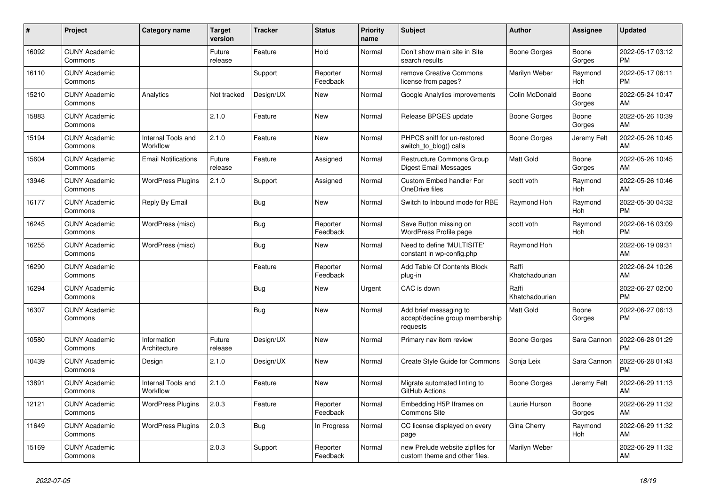| #     | <b>Project</b>                  | <b>Category name</b>           | <b>Target</b><br>version | <b>Tracker</b> | <b>Status</b>        | <b>Priority</b><br>name | <b>Subject</b>                                                        | <b>Author</b>           | Assignee        | <b>Updated</b>                |
|-------|---------------------------------|--------------------------------|--------------------------|----------------|----------------------|-------------------------|-----------------------------------------------------------------------|-------------------------|-----------------|-------------------------------|
| 16092 | <b>CUNY Academic</b><br>Commons |                                | Future<br>release        | Feature        | Hold                 | Normal                  | Don't show main site in Site<br>search results                        | Boone Gorges            | Boone<br>Gorges | 2022-05-17 03:12<br><b>PM</b> |
| 16110 | <b>CUNY Academic</b><br>Commons |                                |                          | Support        | Reporter<br>Feedback | Normal                  | remove Creative Commons<br>license from pages?                        | Marilyn Weber           | Raymond<br>Hoh  | 2022-05-17 06:11<br><b>PM</b> |
| 15210 | <b>CUNY Academic</b><br>Commons | Analytics                      | Not tracked              | Design/UX      | New                  | Normal                  | Google Analytics improvements                                         | Colin McDonald          | Boone<br>Gorges | 2022-05-24 10:47<br>AM        |
| 15883 | <b>CUNY Academic</b><br>Commons |                                | 2.1.0                    | Feature        | <b>New</b>           | Normal                  | Release BPGES update                                                  | Boone Gorges            | Boone<br>Gorges | 2022-05-26 10:39<br>AM        |
| 15194 | <b>CUNY Academic</b><br>Commons | Internal Tools and<br>Workflow | 2.1.0                    | Feature        | New                  | Normal                  | PHPCS sniff for un-restored<br>switch to blog() calls                 | Boone Gorges            | Jeremy Felt     | 2022-05-26 10:45<br>AM        |
| 15604 | <b>CUNY Academic</b><br>Commons | <b>Email Notifications</b>     | Future<br>release        | Feature        | Assigned             | Normal                  | <b>Restructure Commons Group</b><br>Digest Email Messages             | <b>Matt Gold</b>        | Boone<br>Gorges | 2022-05-26 10:45<br>AM        |
| 13946 | <b>CUNY Academic</b><br>Commons | <b>WordPress Plugins</b>       | 2.1.0                    | Support        | Assigned             | Normal                  | Custom Embed handler For<br>OneDrive files                            | scott voth              | Raymond<br>Hoh  | 2022-05-26 10:46<br>AM        |
| 16177 | <b>CUNY Academic</b><br>Commons | Reply By Email                 |                          | <b>Bug</b>     | <b>New</b>           | Normal                  | Switch to Inbound mode for RBE                                        | Raymond Hoh             | Raymond<br>Hoh  | 2022-05-30 04:32<br><b>PM</b> |
| 16245 | <b>CUNY Academic</b><br>Commons | WordPress (misc)               |                          | <b>Bug</b>     | Reporter<br>Feedback | Normal                  | Save Button missing on<br>WordPress Profile page                      | scott voth              | Raymond<br>Hoh  | 2022-06-16 03:09<br><b>PM</b> |
| 16255 | <b>CUNY Academic</b><br>Commons | WordPress (misc)               |                          | Bug            | New                  | Normal                  | Need to define 'MULTISITE'<br>constant in wp-config.php               | Raymond Hoh             |                 | 2022-06-19 09:31<br>AM        |
| 16290 | <b>CUNY Academic</b><br>Commons |                                |                          | Feature        | Reporter<br>Feedback | Normal                  | Add Table Of Contents Block<br>plug-in                                | Raffi<br>Khatchadourian |                 | 2022-06-24 10:26<br>AM        |
| 16294 | <b>CUNY Academic</b><br>Commons |                                |                          | <b>Bug</b>     | New                  | Urgent                  | CAC is down                                                           | Raffi<br>Khatchadourian |                 | 2022-06-27 02:00<br><b>PM</b> |
| 16307 | <b>CUNY Academic</b><br>Commons |                                |                          | <b>Bug</b>     | New                  | Normal                  | Add brief messaging to<br>accept/decline group membership<br>requests | <b>Matt Gold</b>        | Boone<br>Gorges | 2022-06-27 06:13<br><b>PM</b> |
| 10580 | <b>CUNY Academic</b><br>Commons | Information<br>Architecture    | Future<br>release        | Design/UX      | New                  | Normal                  | Primary nav item review                                               | Boone Gorges            | Sara Cannon     | 2022-06-28 01:29<br><b>PM</b> |
| 10439 | <b>CUNY Academic</b><br>Commons | Design                         | 2.1.0                    | Design/UX      | <b>New</b>           | Normal                  | Create Style Guide for Commons                                        | Sonja Leix              | Sara Cannon     | 2022-06-28 01:43<br><b>PM</b> |
| 13891 | <b>CUNY Academic</b><br>Commons | Internal Tools and<br>Workflow | 2.1.0                    | Feature        | <b>New</b>           | Normal                  | Migrate automated linting to<br>GitHub Actions                        | Boone Gorges            | Jeremy Felt     | 2022-06-29 11:13<br>AM        |
| 12121 | <b>CUNY Academic</b><br>Commons | <b>WordPress Plugins</b>       | 2.0.3                    | Feature        | Reporter<br>Feedback | Normal                  | Embedding H5P Iframes on<br><b>Commons Site</b>                       | Laurie Hurson           | Boone<br>Gorges | 2022-06-29 11:32<br>AM        |
| 11649 | <b>CUNY Academic</b><br>Commons | <b>WordPress Plugins</b>       | 2.0.3                    | Bug            | In Progress          | Normal                  | CC license displayed on every<br>page                                 | Gina Cherry             | Raymond<br>Hoh  | 2022-06-29 11:32<br>AM        |
| 15169 | <b>CUNY Academic</b><br>Commons |                                | 2.0.3                    | Support        | Reporter<br>Feedback | Normal                  | new Prelude website zipfiles for<br>custom theme and other files.     | Marilyn Weber           |                 | 2022-06-29 11:32<br>AM        |